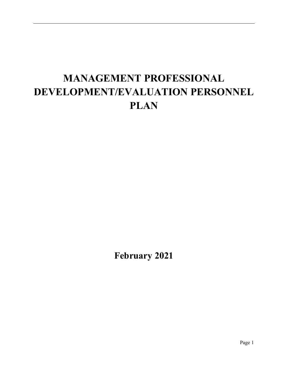# **MANAGEMENT PROFESSIONAL DEVELOPMENT/EVALUATION PERSONNEL PLAN**

**February 2021**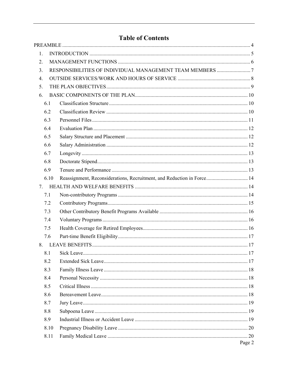# **Table of Contents**

| 1.   |                                                                        |  |
|------|------------------------------------------------------------------------|--|
| 2.   |                                                                        |  |
| 3.   |                                                                        |  |
| 4.   |                                                                        |  |
| 5.   |                                                                        |  |
| 6.   |                                                                        |  |
| 6.1  |                                                                        |  |
| 6.2  |                                                                        |  |
| 6.3  |                                                                        |  |
| 6.4  |                                                                        |  |
| 6.5  |                                                                        |  |
| 6.6  |                                                                        |  |
| 6.7  |                                                                        |  |
| 6.8  |                                                                        |  |
| 6.9  |                                                                        |  |
| 6.10 | Reassignment, Reconsiderations, Recruitment, and Reduction in Force 14 |  |
| 7.   |                                                                        |  |
| 7.1  |                                                                        |  |
| 7.2  |                                                                        |  |
| 7.3  |                                                                        |  |
| 7.4  |                                                                        |  |
| 7.5  |                                                                        |  |
| 7.6  |                                                                        |  |
| 8.   |                                                                        |  |
|      |                                                                        |  |
| 8.2  |                                                                        |  |
| 8.3  |                                                                        |  |
| 8.4  |                                                                        |  |
| 8.5  |                                                                        |  |
| 8.6  |                                                                        |  |
| 8.7  |                                                                        |  |
| 8.8  |                                                                        |  |
| 8.9  |                                                                        |  |
| 8.10 |                                                                        |  |
| 8.11 |                                                                        |  |
|      | Page 2                                                                 |  |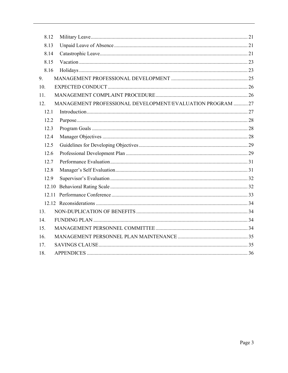| 8.12 |                                                           |
|------|-----------------------------------------------------------|
| 8.13 |                                                           |
| 8.14 |                                                           |
| 8.15 |                                                           |
| 8.16 |                                                           |
| 9.   |                                                           |
| 10.  |                                                           |
| 11.  |                                                           |
| 12.  | MANAGEMENT PROFESSIONAL DEVELOPMENT/EVALUATION PROGRAM 27 |
| 12.1 |                                                           |
| 12.2 |                                                           |
| 12.3 |                                                           |
| 12.4 |                                                           |
| 12.5 |                                                           |
| 12.6 |                                                           |
| 12.7 |                                                           |
| 12.8 |                                                           |
| 12.9 |                                                           |
|      |                                                           |
|      |                                                           |
|      |                                                           |
| 13.  |                                                           |
| 14.  |                                                           |
| 15.  |                                                           |
| 16.  |                                                           |
| 17.  |                                                           |
| 18.  |                                                           |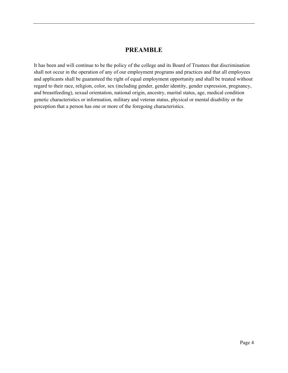# **PREAMBLE**

<span id="page-3-0"></span>It has been and will continue to be the policy of the college and its Board of Trustees that discrimination shall not occur in the operation of any of our employment programs and practices and that all employees and applicants shall be guaranteed the right of equal employment opportunity and shall be treated without regard to their race, religion, color, sex (including gender, gender identity, gender expression, pregnancy, and breastfeeding), sexual orientation, national origin, ancestry, marital status, age, medical condition genetic characteristics or information, military and veteran status, physical or mental disability or the perception that a person has one or more of the foregoing characteristics.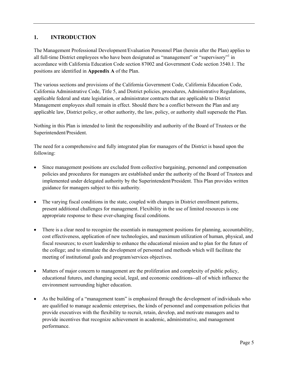# <span id="page-4-0"></span>**1. INTRODUCTION**

The Management Professional Development/Evaluation Personnel Plan (herein after the Plan) applies to all full-time District employees who have been designated as "management" or "supervisory" in accordance with California Education Code section 87002 and Government Code section 3540.1. The positions are identified in **Appendix A** of the Plan.

The various sections and provisions of the California Government Code, California Education Code, California Administrative Code, Title 5, and District policies, procedures, Administrative Regulations, applicable federal and state legislation, or administrator contracts that are applicable to District Management employees shall remain in effect. Should there be a conflict between the Plan and any applicable law, District policy, or other authority, the law, policy, or authority shall supersede the Plan.

Nothing in this Plan is intended to limit the responsibility and authority of the Board of Trustees or the Superintendent/President.

The need for a comprehensive and fully integrated plan for managers of the District is based upon the following:

- Since management positions are excluded from collective bargaining, personnel and compensation policies and procedures for managers are established under the authority of the Board of Trustees and implemented under delegated authority by the Superintendent/President. This Plan provides written guidance for managers subject to this authority*.*
- The varying fiscal conditions in the state, coupled with changes in District enrollment patterns, present additional challenges for management. Flexibility in the use of limited resources is one appropriate response to these ever-changing fiscal conditions.
- There is a clear need to recognize the essentials in management positions for planning, accountability, cost effectiveness, application of new technologies, and maximum utilization of human, physical, and fiscal resources; to exert leadership to enhance the educational mission and to plan for the future of the college; and to stimulate the development of personnel and methods which will facilitate the meeting of institutional goals and program/services objectives.
- Matters of major concern to management are the proliferation and complexity of public policy, educational futures, and changing social, legal, and economic conditions--all of which influence the environment surrounding higher education.
- As the building of a "management team" is emphasized through the development of individuals who are qualified to manage academic enterprises, the kinds of personnel and compensation policies that provide executives with the flexibility to recruit, retain, develop, and motivate managers and to provide incentives that recognize achievement in academic, administrative, and management performance.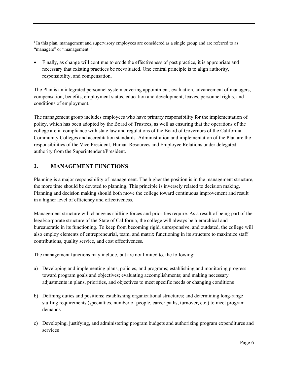$<sup>1</sup>$  In this plan, management and supervisory employees are considered as a single group and are referred to as</sup> "managers" or "management."

 $\mathcal{L}_\mathcal{L} = \mathcal{L}_\mathcal{L} = \mathcal{L}_\mathcal{L} = \mathcal{L}_\mathcal{L} = \mathcal{L}_\mathcal{L} = \mathcal{L}_\mathcal{L} = \mathcal{L}_\mathcal{L} = \mathcal{L}_\mathcal{L} = \mathcal{L}_\mathcal{L} = \mathcal{L}_\mathcal{L} = \mathcal{L}_\mathcal{L} = \mathcal{L}_\mathcal{L} = \mathcal{L}_\mathcal{L} = \mathcal{L}_\mathcal{L} = \mathcal{L}_\mathcal{L} = \mathcal{L}_\mathcal{L} = \mathcal{L}_\mathcal{L}$ 

• Finally, as change will continue to erode the effectiveness of past practice, it is appropriate and necessary that existing practices be reevaluated. One central principle is to align authority, responsibility, and compensation.

The Plan is an integrated personnel system covering appointment, evaluation, advancement of managers, compensation, benefits, employment status, education and development, leaves, personnel rights, and conditions of employment.

The management group includes employees who have primary responsibility for the implementation of policy, which has been adopted by the Board of Trustees, as well as ensuring that the operations of the college are in compliance with state law and regulations of the Board of Governors of the California Community Colleges and accreditation standards. Administration and implementation of the Plan are the responsibilities of the Vice President, Human Resources and Employee Relations under delegated authority from the Superintendent/President.

# <span id="page-5-0"></span>**2. MANAGEMENT FUNCTIONS**

Planning is a major responsibility of management. The higher the position is in the management structure, the more time should be devoted to planning. This principle is inversely related to decision making. Planning and decision making should both move the college toward continuous improvement and result in a higher level of efficiency and effectiveness.

Management structure will change as shifting forces and priorities require. As a result of being part of the legal/corporate structure of the State of California, the college will always be hierarchical and bureaucratic in its functioning. To keep from becoming rigid, unresponsive, and outdated, the college will also employ elements of entrepreneurial, team, and matrix functioning in its structure to maximize staff contributions, quality service, and cost effectiveness.

The management functions may include, but are not limited to, the following:

- a) Developing and implementing plans, policies, and programs; establishing and monitoring progress toward program goals and objectives; evaluating accomplishments; and making necessary adjustments in plans, priorities, and objectives to meet specific needs or changing conditions
- b) Defining duties and positions; establishing organizational structures; and determining long-range staffing requirements (specialties, number of people, career paths, turnover, etc.) to meet program demands
- c) Developing, justifying, and administering program budgets and authorizing program expenditures and services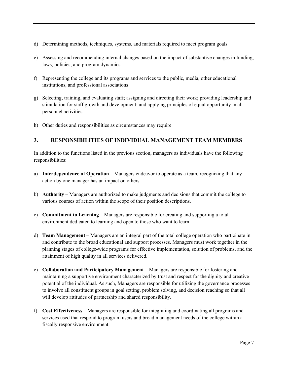- d) Determining methods, techniques, systems, and materials required to meet program goals
- e) Assessing and recommending internal changes based on the impact of substantive changes in funding, laws, policies, and program dynamics
- f) Representing the college and its programs and services to the public, media, other educational institutions, and professional associations
- g) Selecting, training, and evaluating staff; assigning and directing their work; providing leadership and stimulation for staff growth and development; and applying principles of equal opportunity in all personnel activities
- h) Other duties and responsibilities as circumstances may require

# <span id="page-6-0"></span>**3. RESPONSIBILITIES OF INDIVIDUAL MANAGEMENT TEAM MEMBERS**

In addition to the functions listed in the previous section, managers as individuals have the following responsibilities:

- a) **Interdependence of Operation** Managers endeavor to operate as a team, recognizing that any action by one manager has an impact on others.
- b) **Authority** Managers are authorized to make judgments and decisions that commit the college to various courses of action within the scope of their position descriptions.
- c) **Commitment to Learning** Managers are responsible for creating and supporting a total environment dedicated to learning and open to those who want to learn.
- d) **Team Management** Managers are an integral part of the total college operation who participate in and contribute to the broad educational and support processes. Managers must work together in the planning stages of college-wide programs for effective implementation, solution of problems, and the attainment of high quality in all services delivered.
- e) **Collaboration and Participatory Management** Managers are responsible for fostering and maintaining a supportive environment characterized by trust and respect for the dignity and creative potential of the individual. As such, Managers are responsible for utilizing the governance processes to involve all constituent groups in goal setting, problem solving, and decision reaching so that all will develop attitudes of partnership and shared responsibility.
- f) **Cost Effectiveness** Managers are responsible for integrating and coordinating all programs and services used that respond to program users and broad management needs of the college within a fiscally responsive environment.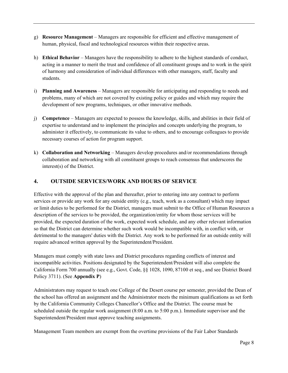- g) **Resource Management** Managers are responsible for efficient and effective management of human, physical, fiscal and technological resources within their respective areas.
- h) **Ethical Behavior** Managers have the responsibility to adhere to the highest standards of conduct, acting in a manner to merit the trust and confidence of all constituent groups and to work in the spirit of harmony and consideration of individual differences with other managers, staff, faculty and students.
- i) **Planning and Awareness** Managers are responsible for anticipating and responding to needs and problems, many of which are not covered by existing policy or guides and which may require the development of new programs, techniques, or other innovative methods.
- j) **Competence** Managers are expected to possess the knowledge, skills, and abilities in their field of expertise to understand and to implement the principles and concepts underlying the program, to administer it effectively, to communicate its value to others, and to encourage colleagues to provide necessary courses of action for program support.
- k) **Collaboration and Networking** Managers develop procedures and/or recommendations through collaboration and networking with all constituent groups to reach consensus that underscores the interest(s) of the District.

# <span id="page-7-0"></span>**4. OUTSIDE SERVICES/WORK AND HOURS OF SERVICE**

Effective with the approval of the plan and thereafter, prior to entering into any contract to perform services or provide any work for any outside entity (e.g., teach, work as a consultant) which may impact or limit duties to be performed for the District, managers must submit to the Office of Human Resources a description of the services to be provided, the organization/entity for whom those services will be provided, the expected duration of the work, expected work schedule, and any other relevant information so that the District can determine whether such work would be incompatible with, in conflict with, or detrimental to the managers' duties with the District. Any work to be performed for an outside entity will require advanced written approval by the Superintendent/President.

Managers must comply with state laws and District procedures regarding conflicts of interest and incompatible activities. Positions designated by the Superintendent/President will also complete the California Form 700 annually (see e.g., Govt. Code, §§ 1028, 1090, 87100 et seq., and see District Board Policy 3711). (See **Appendix P**)

Administrators may request to teach one College of the Desert course per semester, provided the Dean of the school has offered an assignment and the Administrator meets the minimum qualifications as set forth by the California Community Colleges Chancellor's Office and the District. The course must be scheduled outside the regular work assignment (8:00 a.m. to 5:00 p.m.). Immediate supervisor and the Superintendent/President must approve teaching assignments.

Management Team members are exempt from the overtime provisions of the Fair Labor Standards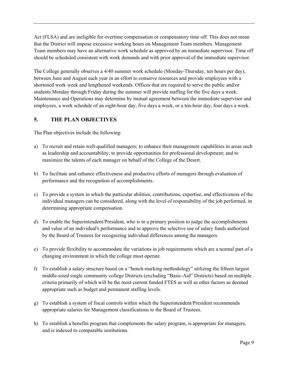Act (FLSA) and are ineligible for overtime compensation or compensatory time off. This does not mean that the District will impose excessive working hours on Management Team members. Management Team members may have an alternative work schedule as approved by an immediate supervisor. Time off should be scheduled consistent with work demands and with prior approval of the immediate supervisor.

The College generally observes a 4/40 summer work schedule (Monday-Thursday, ten hours per day), between June and August each year in an effort to conserve resources and provide employees with a shortened work week and lengthened weekends. Offices that are required to serve the public and/or students Monday through Friday during the summer will provide staffing for the five days a week. Maintenance and Operations may determine by mutual agreement between the immediate supervisor and employees, a work schedule of an eight-hour day, five days a week, or a ten-hour day, four days a week.

# <span id="page-8-0"></span>**5. THE PLAN OBJECTIVES**

The Plan objectives include the following:

- a) To recruit and retain well-qualified managers; to enhance their management capabilities in areas such as leadership and accountability; to provide opportunities for professional development; and to maximize the talents of each manager on behalf of the College of the Desert.
- b) To facilitate and enhance effectiveness and productive efforts of managers through evaluation of performance and the recognition of accomplishments.
- c) To provide a system in which the particular abilities, contributions, expertise, and effectiveness of the individual managers can be considered, along with the level of responsibility of the job performed, in determining appropriate compensation.
- d) To enable the Superintendent/President, who is in a primary position to judge the accomplishments and value of an individual's performance and to approve the selective use of salary funds authorized by the Board of Trustees for recognizing individual differences among the managers.
- e) To provide flexibility to accommodate the variations in job requirements which are a normal part of a changing environment in which the college must operate.
- f) To establish a salary structure based on a "bench-marking methodology" utilizing the fifteen largest middle-sized single community college Districts (excluding "Basic-Aid" Districts) based on multiple criteria primarily of which will be the most current funded FTES as well as other factors as deemed appropriate such as budget and permanent staffing levels.
- g) To establish a system of fiscal controls within which the Superintendent/President recommends appropriate salaries for Management classifications to the Board of Trustees.
- h) To establish a benefits program that complements the salary program, is appropriate for managers, and is indexed to comparable institutions.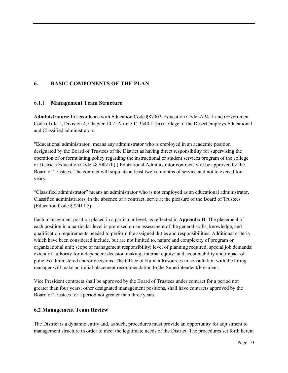# <span id="page-9-0"></span>**6. BASIC COMPONENTS OF THE PLAN**

# <span id="page-9-1"></span>6.1.1 **Management Team Structure**

**Administrators:** In accordance with Education Code §87002, Education Code §72411 and Government Code (Title 1, Division 4, Chapter 10.7, Article 1) 3540.1 (m) College of the Desert employs Educational and Classified administrators.

"Educational administrator" means any administrator who is employed in an academic position designated by the Board of Trustees of the District as having direct responsibility for supervising the operation of or formulating policy regarding the instructional or student services program of the college or District (Education Code §87002 (b).) Educational Administrator contracts will be approved by the Board of Trustees. The contract will stipulate at least twelve months of service and not to exceed four years.

"Classified administrator" means an administrator who is not employed as an educational administrator. Classified administrators, in the absence of a contract, serve at the pleasure of the Board of Trustees (Education Code §72411.5).

Each management position placed in a particular level, as reflected in **Appendix B**. The placement of each position in a particular level is premised on an assessment of the general skills, knowledge, and qualification requirements needed to perform the assigned duties and responsibilities. Additional criteria which have been considered include, but are not limited to, nature and complexity of program or organizational unit; scope of management responsibility; level of planning required; special job demands; extent of authority for independent decision making; internal equity; and accountability and impact of policies administered and/or decisions. The Office of Human Resources in consultation with the hiring manager will make an initial placement recommendation to the Superintendent/President.

Vice President contracts shall be approved by the Board of Trustees under contract for a period not greater than four years; other designated management positions, shall have contracts approved by the Board of Trustees for a period not greater than three years.

# <span id="page-9-2"></span>**6.2 Management Team Review**

The District is a dynamic entity and, as such, procedures must provide an opportunity for adjustment to management structure in order to meet the legitimate needs of the District. The procedures set forth herein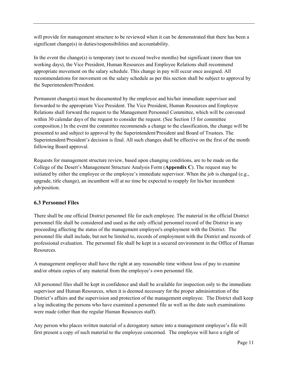will provide for management structure to be reviewed when it can be demonstrated that there has been a significant change(s) in duties/responsibilities and accountability.

In the event the change(s) is temporary (not to exceed twelve months) but significant (more than ten working days), the Vice President, Human Resources and Employee Relations shall recommend appropriate movement on the salary schedule. This change in pay will occur once assigned. All recommendations for movement on the salary schedule as per this section shall be subject to approval by the Superintendent/President.

Permanent change(s) must be documented by the employee and his/her immediate supervisor and forwarded to the appropriate Vice President. The Vice President, Human Resources and Employee Relations shall forward the request to the Management Personnel Committee, which will be convened within 30 calendar days of the request to consider the request. (See Section 15 for committee composition.) In the event the committee recommends a change to the classification, the change will be presented to and subject to approval by the Superintendent/President and Board of Trustees. The Superintendent/President's decision is final. All such changes shall be effective on the first of the month following Board approval.

Requests for management structure review, based upon changing conditions, are to be made on the College of the Desert's Management Structure Analysis Form (**Appendix C**). The request may be initiated by either the employee or the employee's immediate supervisor. When the job is changed (e.g., upgrade, title change), an incumbent will at no time be expected to reapply for his/her incumbent job/position.

# <span id="page-10-0"></span>**6.3 Personnel Files**

There shall be one official District personnel file for each employee. The material in the official District personnel file shall be considered and used as the only official personnel record of the District in any proceeding affecting the status of the management employee's employment with the District. The personnel file shall include, but not be limited to, records of employment with the District and records of professional evaluation. The personnel file shall be kept in a secured environment in the Office of Human Resources.

A management employee shall have the right at any reasonable time without loss of pay to examine and/or obtain copies of any material from the employee's own personnel file.

All personnel files shall be kept in confidence and shall be available for inspection only to the immediate supervisor and Human Resources, when it is deemed necessary for the proper administration of the District's affairs and the supervision and protection of the management employee. The District shall keep a log indicating the persons who have examined a personnel file as well as the date such examinations were made (other than the regular Human Resources staff).

Any person who places written material of a derogatory nature into a management employee's file will first present a copy of such material to the employee concerned. The employee will have a right of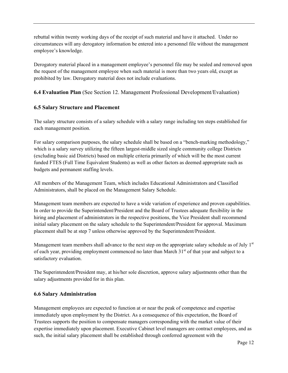rebuttal within twenty working days of the receipt of such material and have it attached. Under no circumstances will any derogatory information be entered into a personnel file without the management employee's knowledge.

Derogatory material placed in a management employee's personnel file may be sealed and removed upon the request of the management employee when such material is more than two years old, except as prohibited by law. Derogatory material does not include evaluations.

**6.4 Evaluation Plan** (See Section 12. Management Professional Development/Evaluation)

# <span id="page-11-0"></span>**6.5 Salary Structure and Placement**

The salary structure consists of a salary schedule with a salary range including ten steps established for each management position.

For salary comparison purposes, the salary schedule shall be based on a "bench-marking methodology," which is a salary survey utilizing the fifteen largest-middle sized single community college Districts (excluding basic aid Districts) based on multiple criteria primarily of which will be the most current funded FTES (Full Time Equivalent Students) as well as other factors as deemed appropriate such as budgets and permanent staffing levels.

All members of the Management Team, which includes Educational Administrators and Classified Administrators, shall be placed on the Management Salary Schedule.

Management team members are expected to have a wide variation of experience and proven capabilities. In order to provide the Superintendent/President and the Board of Trustees adequate flexibility in the hiring and placement of administrators in the respective positions, the Vice President shall recommend initial salary placement on the salary schedule to the Superintendent/President for approval. Maximum placement shall be at step 7 unless otherwise approved by the Superintendent/President.

Management team members shall advance to the next step on the appropriate salary schedule as of July  $1<sup>st</sup>$ of each year, providing employment commenced no later than March  $31<sup>st</sup>$  of that year and subject to a satisfactory evaluation.

The Superintendent/President may, at his/her sole discretion, approve salary adjustments other than the salary adjustments provided for in this plan.

# <span id="page-11-1"></span>**6.6 Salary Administration**

Management employees are expected to function at or near the peak of competence and expertise immediately upon employment by the District. As a consequence of this expectation, the Board of Trustees supports the position to compensate managers corresponding with the market value of their expertise immediately upon placement. Executive Cabinet level managers are contract employees, and as such, the initial salary placement shall be established through conferred agreement with the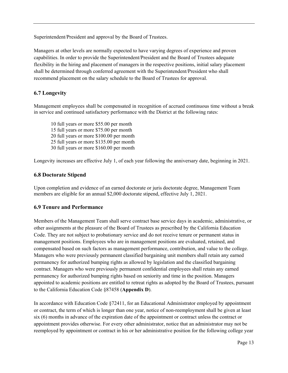Superintendent/President and approval by the Board of Trustees.

Managers at other levels are normally expected to have varying degrees of experience and proven capabilities. In order to provide the Superintendent/President and the Board of Trustees adequate flexibility in the hiring and placement of managers in the respective positions, initial salary placement shall be determined through conferred agreement with the Superintendent/President who shall recommend placement on the salary schedule to the Board of Trustees for approval.

# <span id="page-12-0"></span>**6.7 Longevity**

Management employees shall be compensated in recognition of accrued continuous time without a break in service and continued satisfactory performance with the District at the following rates:

10 full years or more \$55.00 per month 15 full years or more \$75.00 per month 20 full years or more \$100.00 per month 25 full years or more \$135.00 per month 30 full years or more \$160.00 per month

Longevity increases are effective July 1, of each year following the anniversary date, beginning in 2021.

# **6.8 Doctorate Stipend**

Upon completion and evidence of an earned doctorate or juris doctorate degree, Management Team members are eligible for an annual \$2,000 doctorate stipend, effective July 1, 2021.

# **6.9 Tenure and Performance**

Members of the Management Team shall serve contract base service days in academic, administrative, or other assignments at the pleasure of the Board of Trustees as prescribed by the California Education Code. They are not subject to probationary service and do not receive tenure or permanent status in management positions. Employees who are in management positions are evaluated, retained, and compensated based on such factors as management performance, contribution, and value to the college. Managers who were previously permanent classified bargaining unit members shall retain any earned permanency for authorized bumping rights as allowed by legislation and the classified bargaining contract. Managers who were previously permanent confidential employees shall retain any earned permanency for authorized bumping rights based on seniority and time in the position. Managers appointed to academic positions are entitled to retreat rights as adopted by the Board of Trustees, pursuant to the California Education Code §87458 (**Appendix D**).

In accordance with Education Code §72411, for an Educational Administrator employed by appointment or contract, the term of which is longer than one year, notice of non-reemployment shall be given at least six (6) months in advance of the expiration date of the appointment or contract unless the contract or appointment provides otherwise. For every other administrator, notice that an administrator may not be reemployed by appointment or contract in his or her administrative position for the following college year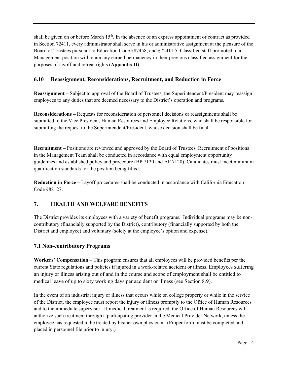shall be given on or before March  $15<sup>th</sup>$ . In the absence of an express appointment or contract as provided in Section 72411, every administrator shall serve in his or administrative assignment at the pleasure of the Board of Trustees pursuant to Education Code §87458, and §72411.5. Classified staff promoted to a Management position will retain any earned permanency in their previous classified assignment for the purposes of layoff and retreat rights (**Appendix D**).

# <span id="page-13-0"></span>**6.10 Reassignment, Reconsiderations, Recruitment, and Reduction in Force**

**Reassignment –** Subject to approval of the Board of Trustees, the Superintendent/President may reassign employees to any duties that are deemed necessary to the District's operation and programs.

**Reconsiderations –** Requests for reconsideration of personnel decisions or reassignments shall be submitted to the Vice President, Human Resources and Employee Relations, who shall be responsible for submitting the request to the Superintendent/President, whose decision shall be final.

**Recruitment –** Positions are reviewed and approved by the Board of Trustees. Recruitment of positions in the Management Team shall be conducted in accordance with equal employment opportunity guidelines and established policy and procedure (BP 7120 and AP 7120). Candidates must meet minimum qualification standards for the position being filled.

**Reduction in Force –** Layoff procedures shall be conducted in accordance with California Education Code §88127.

# <span id="page-13-1"></span>**7. HEALTH AND WELFARE BENEFITS**

The District provides its employees with a variety of benefit programs. Individual programs may be noncontributory (financially supported by the District), contributory (financially supported by both the District and employee) and voluntary (solely at the employee's option and expense).

# <span id="page-13-2"></span>**7.1 Non-contributory Programs**

**Workers' Compensation** – This program ensures that all employees will be provided benefits per the current State regulations and policies if injured in a work-related accident or illness. Employees suffering an injury or illness arising out of and in the course and scope of employment shall be entitled to medical leave of up to sixty working days per accident or illness (see Section 8.9).

In the event of an industrial injury or illness that occurs while on college property or while in the service of the District, the employee must report the injury or illness promptly to the Office of Human Resources and to the immediate supervisor. If medical treatment is required, the Office of Human Resources will authorize such treatment through a participating provider in the Medical Provider Network, unless the employee has requested to be treated by his/her own physician. (Proper form must be completed and placed in personnel file prior to injury.)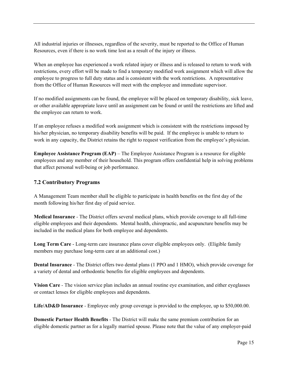All industrial injuries or illnesses, regardless of the severity, must be reported to the Office of Human Resources, even if there is no work time lost as a result of the injury or illness.

When an employee has experienced a work related injury or illness and is released to return to work with restrictions, every effort will be made to find a temporary modified work assignment which will allow the employee to progress to full duty status and is consistent with the work restrictions. A representative from the Office of Human Resources will meet with the employee and immediate supervisor.

If no modified assignments can be found, the employee will be placed on temporary disability, sick leave, or other available appropriate leave until an assignment can be found or until the restrictions are lifted and the employee can return to work.

If an employee refuses a modified work assignment which is consistent with the restrictions imposed by his/her physician, no temporary disability benefits will be paid. If the employee is unable to return to work in any capacity, the District retains the right to request verification from the employee's physician.

**Employee Assistance Program (EAP)** – The Employee Assistance Program is a resource for eligible employees and any member of their household. This program offers confidential help in solving problems that affect personal well-being or job performance.

# <span id="page-14-0"></span>**7.2 Contributory Programs**

A Management Team member shall be eligible to participate in health benefits on the first day of the month following his/her first day of paid service.

**Medical Insurance** *-* The District offers several medical plans, which provide coverage to all full-time eligible employees and their dependents. Mental health, chiropractic, and acupuncture benefits may be included in the medical plans for both employee and dependents.

**Long Term Care** - Long-term care insurance plans cover eligible employees only. (Eligible family members may purchase long-term care at an additional cost.)

**Dental Insurance** *-* The District offers two dental plans (1 PPO and 1 HMO), which provide coverage for a variety of dental and orthodontic benefits for eligible employees and dependents.

**Vision Care** *-* The vision service plan includes an annual routine eye examination, and either eyeglasses or contact lenses for eligible employees and dependents.

**Life/AD&D Insurance** *-* Employee only group coverage is provided to the employee, up to \$50,000.00.

**Domestic Partner Health Benefits** *-* The District will make the same premium contribution for an eligible domestic partner as for a legally married spouse. Please note that the value of any employer-paid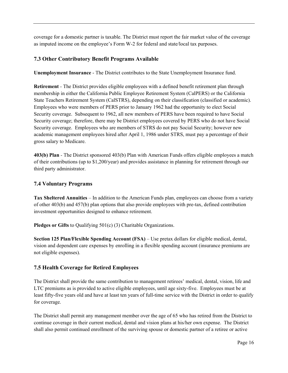coverage for a domestic partner is taxable. The District must report the fair market value of the coverage as imputed income on the employee's Form W-2 for federal and state/local tax purposes.

# <span id="page-15-0"></span>**7.3 Other Contributory Benefit Programs Available**

**Unemployment Insurance** - The District contributes to the State Unemployment Insurance fund.

**Retirement** *-* The District provides eligible employees with a defined benefit retirement plan through membership in either the California Public Employee Retirement System (CalPERS) or the California State Teachers Retirement System (CalSTRS), depending on their classification (classified or academic). Employees who were members of PERS prior to January 1962 had the opportunity to elect Social Security coverage. Subsequent to 1962, all new members of PERS have been required to have Social Security coverage; therefore, there may be District employees covered by PERS who do not have Social Security coverage. Employees who are members of STRS do not pay Social Security; however new academic management employees hired after April 1, 1986 under STRS, must pay a percentage of their gross salary to Medicare.

**403(b) Plan** *-* The District sponsored 403(b) Plan with American Funds offers eligible employees a match of their contributions (up to \$1,200/year) and provides assistance in planning for retirement through our third party administrator.

# <span id="page-15-1"></span>**7.4 Voluntary Programs**

**Tax Sheltered Annuities** *–* In addition to the American Funds plan, employees can choose from a variety of other 403(b) and 457(b) plan options that also provide employees with pre-tax, defined contribution investment opportunities designed to enhance retirement.

**Pledges or Gifts** to Qualifying 501(c) (3) Charitable Organizations.

**Section 125 Plan/Flexible Spending Account (FSA)** – Use pretax dollars for eligible medical, dental, vision and dependent care expenses by enrolling in a flexible spending account (insurance premiums are not eligible expenses).

# <span id="page-15-2"></span>**7.5 Health Coverage for Retired Employees**

The District shall provide the same contribution to management retirees' medical, dental, vision, life and LTC premiums as is provided to active eligible employees, until age sixty-five. Employees must be at least fifty-five years old and have at least ten years of full-time service with the District in order to qualify for coverage.

The District shall permit any management member over the age of 65 who has retired from the District to continue coverage in their current medical, dental and vision plans at his/her own expense. The District shall also permit continued enrollment of the surviving spouse or domestic partner of a retiree or active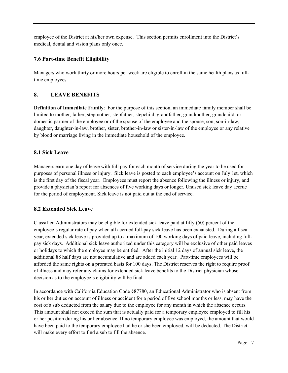employee of the District at his/her own expense. This section permits enrollment into the District's medical, dental and vision plans only once.

# <span id="page-16-0"></span>**7.6 Part-time Benefit Eligibility**

Managers who work thirty or more hours per week are eligible to enroll in the same health plans as fulltime employees.

# <span id="page-16-1"></span>**8. LEAVE BENEFITS**

**Definition of Immediate Family**: For the purpose of this section, an immediate family member shall be limited to mother, father, stepmother, stepfather, stepchild, grandfather, grandmother, grandchild, or domestic partner of the employee or of the spouse of the employee and the spouse, son, son-in-law, daughter, daughter-in-law, brother, sister, brother-in-law or sister-in-law of the employee or any relative by blood or marriage living in the immediate household of the employee.

# <span id="page-16-2"></span>**8.1 Sick Leave**

Managers earn one day of leave with full pay for each month of service during the year to be used for purposes of personal illness or injury. Sick leave is posted to each employee's account on July 1st, which is the first day of the fiscal year. Employees must report the absence following the illness or injury, and provide a physician's report for absences of five working days or longer. Unused sick leave day accrue for the period of employment. Sick leave is not paid out at the end of service.

# <span id="page-16-3"></span>**8.2 Extended Sick Leave**

Classified Administrators may be eligible for extended sick leave paid at fifty (50) percent of the employee's regular rate of pay when all accrued full-pay sick leave has been exhausted. During a fiscal year, extended sick leave is provided up to a maximum of 100 working days of paid leave, including fullpay sick days. Additional sick leave authorized under this category will be exclusive of other paid leaves or holidays to which the employee may be entitled. After the initial 12 days of annual sick leave, the additional 88 half days are not accumulative and are added each year. Part-time employees will be afforded the same rights on a prorated basis for 100 days. The District reserves the right to require proof of illness and may refer any claims for extended sick leave benefits to the District physician whose decision as to the employee's eligibility will be final.

In accordance with California Education Code §87780, an Educational Administrator who is absent from his or her duties on account of illness or accident for a period of five school months or less, may have the cost of a sub deducted from the salary due to the employee for any month in which the absence occurs. This amount shall not exceed the sum that is actually paid for a temporary employee employed to fill his or her position during his or her absence. If no temporary employee was employed, the amount that would have been paid to the temporary employee had he or she been employed, will be deducted. The District will make every effort to find a sub to fill the absence.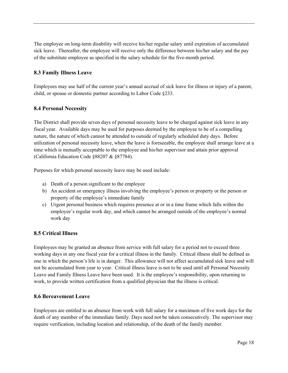The employee on long-term disability will receive his/her regular salary until expiration of accumulated sick leave. Thereafter, the employee will receive only the difference between his/her salary and the pay of the substitute employee as specified in the salary schedule for the five-month period.

# <span id="page-17-0"></span>**8.3 Family Illness Leave**

Employees may use half of the current year's annual accrual of sick leave for illness or injury of a parent, child, or spouse or domestic partner according to Labor Code §233.

# <span id="page-17-1"></span>**8.4 Personal Necessity**

The District shall provide seven days of personal necessity leave to be charged against sick leave in any fiscal year. Available days may be used for purposes deemed by the employee to be of a compelling nature, the nature of which cannot be attended to outside of regularly scheduled duty days. Before utilization of personal necessity leave, when the leave is foreseeable, the employee shall arrange leave at a time which is mutually acceptable to the employee and his/her supervisor and attain prior approval (California Education Code §88207 & §87784).

Purposes for which personal necessity leave may be used include:

- a) Death of a person significant to the employee
- b) An accident or emergency illness involving the employee's person or property or the person or property of the employee's immediate family
- c) Urgent personal business which requires presence at or in a time frame which falls within the employee's regular work day, and which cannot be arranged outside of the employee's normal work day

# <span id="page-17-2"></span>**8.5 Critical Illness**

Employees may be granted an absence from service with full salary for a period not to exceed three working days in any one fiscal year for a critical illness in the family. Critical illness shall be defined as one in which the person's life is in danger. This allowance will not affect accumulated sick leave and will not be accumulated from year to year. Critical illness leave is not to be used until all Personal Necessity Leave and Family Illness Leave have been used. It is the employee's responsibility, upon returning to work, to provide written certification from a qualified physician that the illness is critical.

# <span id="page-17-3"></span>**8.6 Bereavement Leave**

Employees are entitled to an absence from work with full salary for a maximum of five work days for the death of any member of the immediate family. Days need not be taken consecutively. The supervisor may require verification, including location and relationship, of the death of the family member.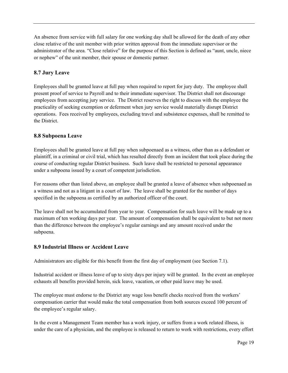An absence from service with full salary for one working day shall be allowed for the death of any other close relative of the unit member with prior written approval from the immediate supervisor or the administrator of the area. "Close relative" for the purpose of this Section is defined as "aunt, uncle, niece or nephew" of the unit member, their spouse or domestic partner.

# <span id="page-18-0"></span>**8.7 Jury Leave**

Employees shall be granted leave at full pay when required to report for jury duty. The employee shall present proof of service to Payroll and to their immediate supervisor. The District shall not discourage employees from accepting jury service. The District reserves the right to discuss with the employee the practicality of seeking exemption or deferment when jury service would materially disrupt District operations. Fees received by employees, excluding travel and subsistence expenses, shall be remitted to the District.

# <span id="page-18-1"></span>**8.8 Subpoena Leave**

Employees shall be granted leave at full pay when subpoenaed as a witness, other than as a defendant or plaintiff, in a criminal or civil trial, which has resulted directly from an incident that took place during the course of conducting regular District business. Such leave shall be restricted to personal appearance under a subpoena issued by a court of competent jurisdiction.

For reasons other than listed above, an employee shall be granted a leave of absence when subpoenaed as a witness and not as a litigant in a court of law. The leave shall be granted for the number of days specified in the subpoena as certified by an authorized officer of the court.

The leave shall not be accumulated from year to year. Compensation for such leave will be made up to a maximum of ten working days per year. The amount of compensation shall be equivalent to but not more than the difference between the employee's regular earnings and any amount received under the subpoena.

# <span id="page-18-2"></span>**8.9 Industrial Illness or Accident Leave**

Administrators are eligible for this benefit from the first day of employment (see Section 7.1).

Industrial accident or illness leave of up to sixty days per injury will be granted. In the event an employee exhausts all benefits provided herein, sick leave, vacation, or other paid leave may be used.

The employee must endorse to the District any wage loss benefit checks received from the workers' compensation carrier that would make the total compensation from both sources exceed 100 percent of the employee's regular salary.

In the event a Management Team member has a work injury, or suffers from a work related illness, is under the care of a physician, and the employee is released to return to work with restrictions, every effort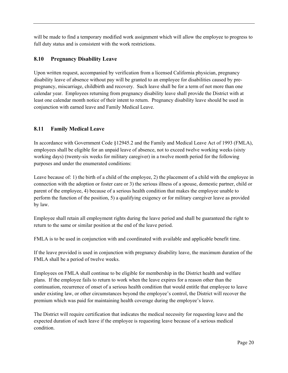will be made to find a temporary modified work assignment which will allow the employee to progress to full duty status and is consistent with the work restrictions.

# <span id="page-19-0"></span>**8.10 Pregnancy Disability Leave**

Upon written request, accompanied by verification from a licensed California physician, pregnancy disability leave of absence without pay will be granted to an employee for disabilities caused by prepregnancy, miscarriage, childbirth and recovery. Such leave shall be for a term of not more than one calendar year. Employees returning from pregnancy disability leave shall provide the District with at least one calendar month notice of their intent to return. Pregnancy disability leave should be used in conjunction with earned leave and Family Medical Leave.

# <span id="page-19-1"></span>**8.11 Family Medical Leave**

In accordance with Government Code §12945.2 and the Family and Medical Leave Act of 1993 (FMLA), employees shall be eligible for an unpaid leave of absence, not to exceed twelve working weeks (sixty working days) (twenty-six weeks for military caregiver) in a twelve month period for the following purposes and under the enumerated conditions:

Leave because of: 1) the birth of a child of the employee, 2) the placement of a child with the employee in connection with the adoption or foster care or 3) the serious illness of a spouse, domestic partner, child or parent of the employee, 4) because of a serious health condition that makes the employee unable to perform the function of the position, 5) a qualifying exigency or for military caregiver leave as provided by law.

Employee shall retain all employment rights during the leave period and shall be guaranteed the right to return to the same or similar position at the end of the leave period.

FMLA is to be used in conjunction with and coordinated with available and applicable benefit time.

If the leave provided is used in conjunction with pregnancy disability leave, the maximum duration of the FMLA shall be a period of twelve weeks.

Employees on FMLA shall continue to be eligible for membership in the District health and welfare plans. If the employee fails to return to work when the leave expires for a reason other than the continuation, recurrence of onset of a serious health condition that would entitle that employee to leave under existing law, or other circumstances beyond the employee's control, the District will recover the premium which was paid for maintaining health coverage during the employee's leave.

The District will require certification that indicates the medical necessity for requesting leave and the expected duration of such leave if the employee is requesting leave because of a serious medical condition.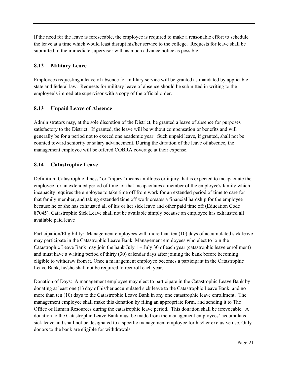If the need for the leave is foreseeable, the employee is required to make a reasonable effort to schedule the leave at a time which would least disrupt his/her service to the college. Requests for leave shall be submitted to the immediate supervisor with as much advance notice as possible.

# <span id="page-20-0"></span>**8.12 Military Leave**

Employees requesting a leave of absence for military service will be granted as mandated by applicable state and federal law. Requests for military leave of absence should be submitted in writing to the employee's immediate supervisor with a copy of the official order.

# <span id="page-20-1"></span>**8.13 Unpaid Leave of Absence**

Administrators may, at the sole discretion of the District, be granted a leave of absence for purposes satisfactory to the District. If granted, the leave will be without compensation or benefits and will generally be for a period not to exceed one academic year. Such unpaid leave, if granted, shall not be counted toward seniority or salary advancement. During the duration of the leave of absence, the management employee will be offered COBRA coverage at their expense.

# **8.14 Catastrophic Leave**

Definition: Catastrophic illness" or "injury" means an illness or injury that is expected to incapacitate the employee for an extended period of time, or that incapacitates a member of the employee's family which incapacity requires the employee to take time off from work for an extended period of time to care for that family member, and taking extended time off work creates a financial hardship for the employee because he or she has exhausted all of his or her sick leave and other paid time off (Education Code 87045). Catastrophic Sick Leave shall not be available simply because an employee has exhausted all available paid leave

Participation/Eligibility: Management employees with more than ten (10) days of accumulated sick leave may participate in the Catastrophic Leave Bank. Management employees who elect to join the Catastrophic Leave Bank may join the bank July  $1 -$  July 30 of each year (catastrophic leave enrollment) and must have a waiting period of thirty (30) calendar days after joining the bank before becoming eligible to withdraw from it. Once a management employee becomes a participant in the Catastrophic Leave Bank, he/she shall not be required to reenroll each year.

Donation of Days: A management employee may elect to participate in the Catastrophic Leave Bank by donating at least one (1) day of his/her accumulated sick leave to the Catastrophic Leave Bank, and no more than ten (10) days to the Catastrophic Leave Bank in any one catastrophic leave enrollment. The management employee shall make this donation by filing an appropriate form, and sending it to The Office of Human Resources during the catastrophic leave period. This donation shall be irrevocable. A donation to the Catastrophic Leave Bank must be made from the management employees' accumulated sick leave and shall not be designated to a specific management employee for his/her exclusive use. Only donors to the bank are eligible for withdrawals.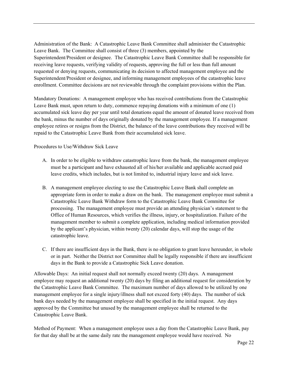Administration of the Bank: A Catastrophic Leave Bank Committee shall administer the Catastrophic Leave Bank. The Committee shall consist of three (3) members, appointed by the Superintendent/President or designee. The Catastrophic Leave Bank Committee shall be responsible for receiving leave requests, verifying validity of requests, approving the full or less than full amount requested or denying requests, communicating its decision to affected management employee and the Superintendent/President or designee, and informing management employees of the catastrophic leave enrollment. Committee decisions are not reviewable through the complaint provisions within the Plan.

Mandatory Donations: A management employee who has received contributions from the Catastrophic Leave Bank must, upon return to duty, commence repaying donations with a minimum of one (1) accumulated sick leave day per year until total donations equal the amount of donated leave received from the bank, minus the number of days originally donated by the management employee. If a management employee retires or resigns from the District, the balance of the leave contributions they received will be repaid to the Catastrophic Leave Bank from their accumulated sick leave.

Procedures to Use/Withdraw Sick Leave

- A. In order to be eligible to withdraw catastrophic leave from the bank, the management employee must be a participant and have exhausted all of his/her available and applicable accrued paid leave credits, which includes, but is not limited to, industrial injury leave and sick leave.
- B. A management employee electing to use the Catastrophic Leave Bank shall complete an appropriate form in order to make a draw on the bank. The management employee must submit a Catastrophic Leave Bank Withdraw form to the Catastrophic Leave Bank Committee for processing. The management employee must provide an attending physician's statement to the Office of Human Resources, which verifies the illness, injury, or hospitalization. Failure of the management member to submit a complete application, including medical information provided by the applicant's physician, within twenty (20) calendar days, will stop the usage of the catastrophic leave.
- C. If there are insufficient days in the Bank, there is no obligation to grant leave hereunder, in whole or in part. Neither the District nor Committee shall be legally responsible if there are insufficient days in the Bank to provide a Catastrophic Sick Leave donation.

Allowable Days: An initial request shall not normally exceed twenty (20) days. A management employee may request an additional twenty (20) days by filing an additional request for consideration by the Catastrophic Leave Bank Committee. The maximum number of days allowed to be utilized by one management employee for a single injury/illness shall not exceed forty (40) days. The number of sick bank days needed by the management employee shall be specified in the initial request. Any days approved by the Committee but unused by the management employee shall be returned to the Catastrophic Leave Bank.

Method of Payment: When a management employee uses a day from the Catastrophic Leave Bank, pay for that day shall be at the same daily rate the management employee would have received. No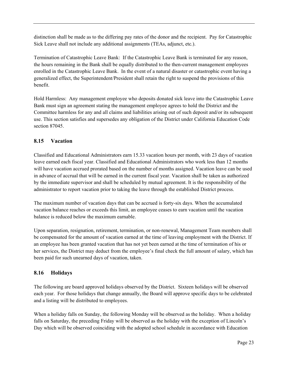distinction shall be made as to the differing pay rates of the donor and the recipient. Pay for Catastrophic Sick Leave shall not include any additional assignments (TEAs, adjunct, etc.).

Termination of Catastrophic Leave Bank: If the Catastrophic Leave Bank is terminated for any reason, the hours remaining in the Bank shall be equally distributed to the then-current management employees enrolled in the Catastrophic Leave Bank. In the event of a natural disaster or catastrophic event having a generalized effect, the Superintendent/President shall retain the right to suspend the provisions of this benefit.

Hold Harmless: Any management employee who deposits donated sick leave into the Catastrophic Leave Bank must sign an agreement stating the management employee agrees to hold the District and the Committee harmless for any and all claims and liabilities arising out of such deposit and/or its subsequent use. This section satisfies and supersedes any obligation of the District under California Education Code section 87045.

# <span id="page-22-0"></span>**8.15 Vacation**

Classified and Educational Administrators earn 15.33 vacation hours per month, with 23 days of vacation leave earned each fiscal year. Classified and Educational Administrators who work less than 12 months will have vacation accrued prorated based on the number of months assigned. Vacation leave can be used in advance of accrual that will be earned in the current fiscal year. Vacation shall be taken as authorized by the immediate supervisor and shall be scheduled by mutual agreement. It is the responsibility of the administrator to report vacation prior to taking the leave through the established District process.

The maximum number of vacation days that can be accrued is forty-six days. When the accumulated vacation balance reaches or exceeds this limit, an employee ceases to earn vacation until the vacation balance is reduced below the maximum earnable.

Upon separation, resignation, retirement, termination, or non-renewal, Management Team members shall be compensated for the amount of vacation earned at the time of leaving employment with the District. If an employee has been granted vacation that has not yet been earned at the time of termination of his or her services, the District may deduct from the employee's final check the full amount of salary, which has been paid for such unearned days of vacation, taken.

# <span id="page-22-1"></span>**8.16 Holidays**

The following are board approved holidays observed by the District. Sixteen holidays will be observed each year. For those holidays that change annually, the Board will approve specific days to be celebrated and a listing will be distributed to employees.

When a holiday falls on Sunday, the following Monday will be observed as the holiday. When a holiday falls on Saturday, the preceding Friday will be observed as the holiday with the exception of Lincoln's Day which will be observed coinciding with the adopted school schedule in accordance with Education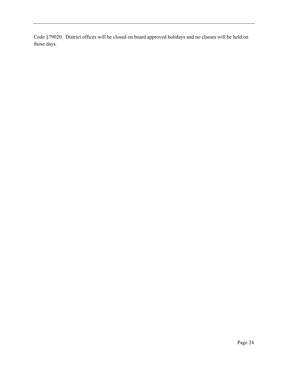Code §79020. District offices will be closed on board approved holidays and no classes will be held on those days.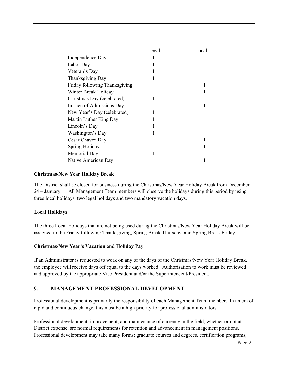|                               | Legal | Local |
|-------------------------------|-------|-------|
| Independence Day              |       |       |
| Labor Day                     |       |       |
| Veteran's Day                 |       |       |
| Thanksgiving Day              |       |       |
| Friday following Thanksgiving |       |       |
| Winter Break Holiday          |       |       |
| Christmas Day (celebrated)    |       |       |
| In Lieu of Admissions Day     |       |       |
| New Year's Day (celebrated)   |       |       |
| Martin Luther King Day        |       |       |
| Lincoln's Day                 |       |       |
| Washington's Day              |       |       |
| Cesar Chavez Day              |       |       |
| Spring Holiday                |       |       |
| Memorial Day                  |       |       |
| Native American Day           |       |       |

#### **Christmas/New Year Holiday Break**

The District shall be closed for business during the Christmas/New Year Holiday Break from December 24 – January 1. All Management Team members will observe the holidays during this period by using three local holidays, two legal holidays and two mandatory vacation days.

# **Local Holidays**

The three Local Holidays that are not being used during the Christmas/New Year Holiday Break will be assigned to the Friday following Thanksgiving, Spring Break Thursday, and Spring Break Friday.

# **Christmas/New Year's Vacation and Holiday Pay**

If an Administrator is requested to work on any of the days of the Christmas/New Year Holiday Break, the employee will receive days off equal to the days worked. Authorization to work must be reviewed and approved by the appropriate Vice President and/or the Superintendent/President.

# <span id="page-24-0"></span>**9. MANAGEMENT PROFESSIONAL DEVELOPMENT**

Professional development is primarily the responsibility of each Management Team member. In an era of rapid and continuous change, this must be a high priority for professional administrators.

Professional development, improvement, and maintenance of currency in the field, whether or not at District expense, are normal requirements for retention and advancement in management positions. Professional development may take many forms: graduate courses and degrees, certification programs,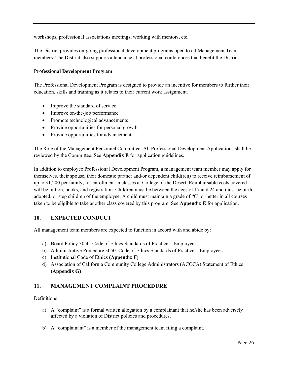workshops, professional associations meetings, working with mentors, etc.

The District provides on-going professional development programs open to all Management Team members. The District also supports attendance at professional conferences that benefit the District.

### **Professional Development Program**

The Professional Development Program is designed to provide an incentive for members to further their education, skills and training as it relates to their current work assignment.

- Improve the standard of service
- Improve on-the-job performance
- Promote technological advancements
- Provide opportunities for personal growth
- Provide opportunities for advancement

The Role of the Management Personnel Committee: All Professional Development Applications shall be reviewed by the Committee. See **Appendix E** for application guidelines.

In addition to employee Professional Development Program, a management team member may apply for themselves, their spouse, their domestic partner and/or dependent child(ren) to receive reimbursement of up to \$1,200 per family, for enrollment in classes at College of the Desert. Reimbursable costs covered will be tuition, books, and registration. Children must be between the ages of 17 and 24 and must be birth, adopted, or step children of the employee. A child must maintain a grade of "C" or better in all courses taken to be eligible to take another class covered by this program. See **Appendix E** for application.

# <span id="page-25-0"></span>**10. EXPECTED CONDUCT**

All management team members are expected to function in accord with and abide by:

- a) Board Policy 3050: Code of Ethics Standards of Practice Employees
- b) Administrative Procedure 3050: Code of Ethics Standards of Practice Employees
- c) Institutional Code of Ethics **(Appendix F)**
- d) Association of California Community College Administrators (ACCCA) Statement of Ethics **(Appendix G)**

# <span id="page-25-1"></span>**11. MANAGEMENT COMPLAINT PROCEDURE**

#### Definitions

- a) A "complaint" is a formal written allegation by a complainant that he/she has been adversely affected by a violation of District policies and procedures.
- b) A "complainant" is a member of the management team filing a complaint.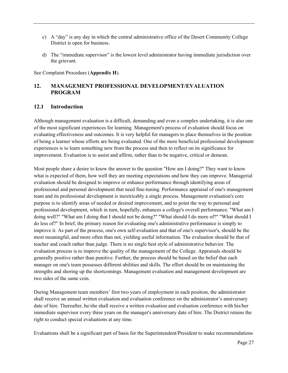- c) A "day" is any day in which the central administrative office of the Desert Community College District is open for business.
- d) The "immediate supervisor" is the lowest level administrator having immediate jurisdiction over the grievant.

See Complaint Procedure (**Appendix H**).

# <span id="page-26-0"></span>**12. MANAGEMENT PROFESSIONAL DEVELOPMENT/EVALUATION PROGRAM**

#### <span id="page-26-1"></span>**12.1 Introduction**

Although management evaluation is a difficult, demanding and even a complex undertaking, it is also one of the most significant experiences for learning. Management's process of evaluation should focus on evaluating effectiveness and outcomes. It is very helpful for managers to place themselves in the position of being a learner whose efforts are being evaluated. One of the more beneficial professional development experiences is to learn something new from the process and then to reflect on its significance for improvement. Evaluation is to assist and affirm, rather than to be negative, critical or demean.

Most people share a desire to know the answer to the question "How am I doing?" They want to know what is expected of them, how well they are meeting expectations and how they can improve. Managerial evaluation should be designed to improve or enhance performance through identifying areas of professional and personal development that need fine-tuning. Performance appraisal of one's management team and its professional development is inextricably a single process. Management evaluation's core purpose is to identify areas of needed or desired improvement, and to point the way to personal and professional development, which in turn, hopefully, enhances a college's overall performance. "What am I doing well?" "What am I doing that I should not be doing?" "What should I do more of?" "What should I do less of?" In brief, the primary reason for evaluating one's administrative performance is simply to improve it. As part of the process, one's own self-evaluation and that of one's supervisor's, should be the most meaningful, and more often than not, yielding useful information. The evaluation should be that of teacher and coach rather than judge. There is no single best style of administrative behavior. The evaluation process is to improve the quality of the management of the College. Appraisals should be generally positive rather than punitive. Further, the process should be based on the belief that each manager on one's team possesses different abilities and skills. The effort should be on maintaining the strengths and shoring up the shortcomings. Management evaluation and management development are two sides of the same coin.

During Management team members' first two years of employment in each position, the administrator shall receive an annual written evaluation and evaluation conference on the administrator's anniversary date of hire. Thereafter, he/she shall receive a written evaluation and evaluation conference with his/her immediate supervisor every three years on the manager's anniversary date of hire. The District retains the right to conduct special evaluations at any time.

Evaluations shall be a significant part of basis for the Superintendent/President to make recommendations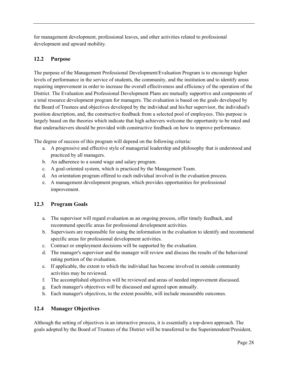for management development, professional leaves, and other activities related to professional development and upward mobility.

# <span id="page-27-0"></span>**12.2 Purpose**

The purpose of the Management Professional Development/Evaluation Program is to encourage higher levels of performance in the service of students, the community, and the institution and to identify areas requiring improvement in order to increase the overall effectiveness and efficiency of the operation of the District. The Evaluation and Professional Development Plans are mutually supportive and components of a total resource development program for managers. The evaluation is based on the goals developed by the Board of Trustees and objectives developed by the individual and his/her supervisor, the individual's position description, and, the constructive feedback from a selected pool of employees. This purpose is largely based on the theories which indicate that high achievers welcome the opportunity to be rated and that underachievers should be provided with constructive feedback on how to improve performance.

The degree of success of this program will depend on the following criteria:

- a. A progressive and effective style of managerial leadership and philosophy that is understood and practiced by all managers.
- b. An adherence to a sound wage and salary program.
- c. A goal-oriented system, which is practiced by the Management Team.
- d. An orientation program offered to each individual involved in the evaluation process.
- e. A management development program, which provides opportunities for professional improvement.

# <span id="page-27-1"></span>**12.3 Program Goals**

- a. The supervisor will regard evaluation as an ongoing process, offer timely feedback, and recommend specific areas for professional development activities.
- b. Supervisors are responsible for using the information in the evaluation to identify and recommend specific areas for professional development activities.
- c. Contract or employment decisions will be supported by the evaluation.
- d. The manager's supervisor and the manager will review and discuss the results of the behavioral rating portion of the evaluation.
- e. If applicable, the extent to which the individual has become involved in outside community activities may be reviewed.
- f. The accomplished objectives will be reviewed and areas of needed improvement discussed.
- g. Each manager's objectives will be discussed and agreed upon annually.
- h. Each manager's objectives, to the extent possible, will include measurable outcomes.

# <span id="page-27-2"></span>**12.4 Manager Objectives**

Although the setting of objectives is an interactive process, it is essentially a top-down approach. The goals adopted by the Board of Trustees of the District will be transferred to the Superintendent/President,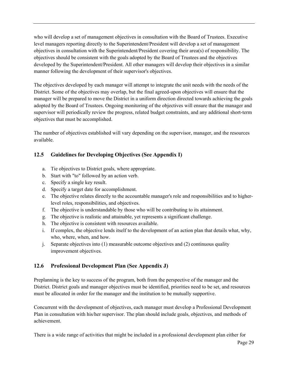who will develop a set of management objectives in consultation with the Board of Trustees. Executive level managers reporting directly to the Superintendent/President will develop a set of management objectives in consultation with the Superintendent/President covering their area(s) of responsibility. The objectives should be consistent with the goals adopted by the Board of Trustees and the objectives developed by the Superintendent/President. All other managers will develop their objectives in a similar manner following the development of their supervisor's objectives.

The objectives developed by each manager will attempt to integrate the unit needs with the needs of the District. Some of the objectives may overlap, but the final agreed-upon objectives will ensure that the manager will be prepared to move the District in a uniform direction directed towards achieving the goals adopted by the Board of Trustees. Ongoing monitoring of the objectives will ensure that the manager and supervisor will periodically review the progress, related budget constraints, and any additional short-term objectives that must be accomplished.

The number of objectives established will vary depending on the supervisor, manager, and the resources available.

# <span id="page-28-0"></span>**12.5 Guidelines for Developing Objectives (See Appendix I)**

- a. Tie objectives to District goals, where appropriate.
- b. Start with "to" followed by an action verb.
- c. Specify a single key result.
- d. Specify a target date for accomplishment.
- e. The objective relates directly to the accountable manager's role and responsibilities and to higherlevel roles, responsibilities, and objectives.
- f. The objective is understandable by those who will be contributing to its attainment.
- g. The objective is realistic and attainable, yet represents a significant challenge.
- h. The objective is consistent with resources available.
- i. If complex, the objective lends itself to the development of an action plan that details what, why, who, where, when, and how.
- j. Separate objectives into (1) measurable outcome objectives and (2) continuous quality improvement objectives.

# <span id="page-28-1"></span>**12.6 Professional Development Plan (See Appendix J)**

Preplanning is the key to success of the program, both from the perspective of the manager and the District. District goals and manager objectives must be identified, priorities need to be set, and resources must be allocated in order for the manager and the institution to be mutually supportive.

Concurrent with the development of objectives, each manager must develop a Professional Development Plan in consultation with his/her supervisor. The plan should include goals, objectives, and methods of achievement.

There is a wide range of activities that might be included in a professional development plan either for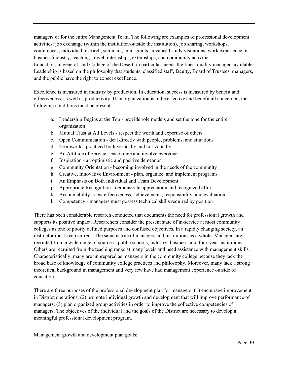managers or for the entire Management Team. The following are examples of professional development activities: job exchange (within the institution/outside the institution), job sharing, workshops, conferences, individual research, seminars, mini-grants, advanced study visitations, work experience in business/industry, teaching, travel, internships, externships, and community activities. Education, in general, and College of the Desert, in particular, needs the finest quality managers available. Leadership is based on the philosophy that students, classified staff, faculty, Board of Trustees, managers, and the public have the right to expect excellence.

Excellence is measured in industry by production. In education, success is measured by benefit and effectiveness, as well as productivity. If an organization is to be effective and benefit all concerned, the following conditions must be present:

- a. Leadership Begins at the Top provide role models and set the tone for the entire organization
- b. Mutual Trust at All Levels respect the worth and expertise of others
- c. Open Communication deal directly with people, problems, and situations
- d. Teamwork practiced both vertically and horizontally
- e. An Attitude of Service encourage and involve everyone
- f. Inspiration an optimistic and positive demeanor
- g. Community Orientation becoming involved in the needs of the community
- h. Creative, Innovative Environment plan, organize, and implement programs
- i. An Emphasis on Both Individual and Team Development
- j. Appropriate Recognition demonstrate appreciation and recognized effort
- k. Accountability cost effectiveness, achievements, responsibility, and evaluation
- l. Competency managers must possess technical skills required by position

There has been considerable research conducted that documents the need for professional growth and supports its positive impact. Researchers consider the present state of in-service at most community colleges as one of poorly defined purposes and confused objectives. In a rapidly changing society, an instructor must keep current. The same is true of managers and institutions as a whole. Managers are recruited from a wide range of sources - public schools, industry, business, and four-year institutions. Others are recruited from the teaching ranks at many levels and need assistance with management skills. Characteristically, many are unprepared as managers in the community college because they lack the broad base of knowledge of community college practices and philosophy. Moreover, many lack a strong theoretical background in management and very few have had management experience outside of education.

There are three purposes of the professional development plan for managers: (1) encourage improvement in District operations; (2) promote individual growth and development that will improve performance of managers; (3) plan organized group activities in order to improve the collective competencies of managers. The objectives of the individual and the goals of the District are necessary to develop a meaningful professional development program.

Management growth and development plan goals: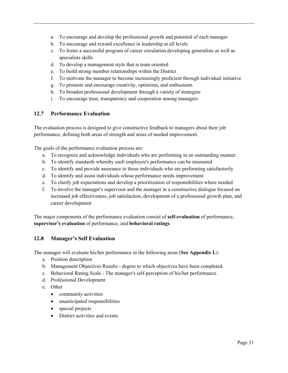- a. To encourage and develop the professional growth and potential of each manager
- b. To encourage and reward excellence in leadership at all levels
- c. To foster a successful program of career circulation developing generalists as well as specialists skills
- d. To develop a management style that is team oriented
- e. To build strong member relationships within the District
- f. To motivate the manager to become increasingly proficient through individual initiative
- g. To promote and encourage creativity, optimism, and enthusiasm
- h. To broaden professional development through a variety of strategies
- i. To encourage trust, transparency and cooperation among managers

#### <span id="page-30-0"></span>**12.7 Performance Evaluation**

The evaluation process is designed to give constructive feedback to managers about their job performance, defining both areas of strength and areas of needed improvement.

The goals of the performance evaluation process are:

- a. To recognize and acknowledge individuals who are performing in an outstanding manner
- b. To identify standards whereby each employee's performance can be measured
- c. To identify and provide assurance to those individuals who are performing satisfactorily
- d. To identify and assist individuals whose performance needs improvement
- e. To clarify job expectations and develop a prioritization of responsibilities where needed
- f. To involve the manager's supervisor and the manager in a constructive dialogue focused on increased job effectiveness, job satisfaction, development of a professional growth plan, and career development

The major components of the performance evaluation consist of **self-evaluation** of performance, **supervisor's evaluation** of performance, and **behavioral ratings**.

# <span id="page-30-1"></span>**12.8 Manager's Self Evaluation**

The manager will evaluate his/her performance in the following areas (**See Appendix L**):

- a. Position description
- b. Management Objectives Results degree to which objectives have been completed.
- c. Behavioral Rating Scale The manager's self-perception of his/her performance.
- d. Professional Development
- e. Other
	- community activities
	- unanticipated responsibilities
	- special projects
	- District activities and events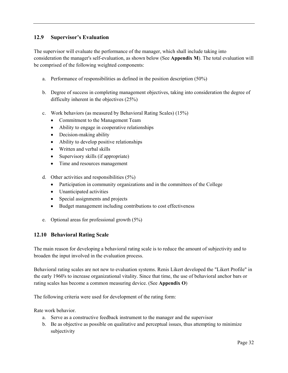# <span id="page-31-0"></span>**12.9 Supervisor's Evaluation**

The supervisor will evaluate the performance of the manager, which shall include taking into consideration the manager's self-evaluation, as shown below (See **Appendix M**). The total evaluation will be comprised of the following weighted components:

- a. Performance of responsibilities as defined in the position description (50%)
- b. Degree of success in completing management objectives, taking into consideration the degree of difficulty inherent in the objectives (25%)
- c. Work behaviors (as measured by Behavioral Rating Scales) (15%)
	- Commitment to the Management Team
	- Ability to engage in cooperative relationships
	- Decision-making ability
	- Ability to develop positive relationships
	- Written and verbal skills
	- Supervisory skills (if appropriate)
	- Time and resources management
- d. Other activities and responsibilities (5%)
	- Participation in community organizations and in the committees of the College
	- Unanticipated activities
	- Special assignments and projects
	- Budget management including contributions to cost effectiveness
- e. Optional areas for professional growth (5%)

# <span id="page-31-1"></span>**12.10 Behavioral Rating Scale**

The main reason for developing a behavioral rating scale is to reduce the amount of subjectivity and to broaden the input involved in the evaluation process.

Behavioral rating scales are not new to evaluation systems. Renis Likert developed the "Likert Profile" in the early 1960's to increase organizational vitality. Since that time, the use of behavioral anchor bars or rating scales has become a common measuring device. (See **Appendix O**)

The following criteria were used for development of the rating form:

Rate work behavior.

- a. Serve as a constructive feedback instrument to the manager and the supervisor
- b. Be as objective as possible on qualitative and perceptual issues, thus attempting to minimize subjectivity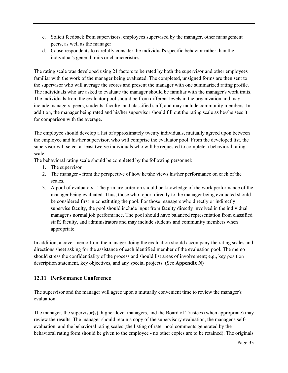- c. Solicit feedback from supervisors, employees supervised by the manager, other management peers, as well as the manager
- d. Cause respondents to carefully consider the individual's specific behavior rather than the individual's general traits or characteristics

The rating scale was developed using 21 factors to be rated by both the supervisor and other employees familiar with the work of the manager being evaluated. The completed, unsigned forms are then sent to the supervisor who will average the scores and present the manager with one summarized rating profile. The individuals who are asked to evaluate the manager should be familiar with the manager's work traits. The individuals from the evaluator pool should be from different levels in the organization and may include managers, peers, students, faculty, and classified staff, and may include community members. In addition, the manager being rated and his/her supervisor should fill out the rating scale as he/she sees it for comparison with the average.

The employee should develop a list of approximately twenty individuals, mutually agreed upon between the employee and his/her supervisor, who will comprise the evaluator pool. From the developed list, the supervisor will select at least twelve individuals who will be requested to complete a behavioral rating scale.

The behavioral rating scale should be completed by the following personnel:

- 1. The supervisor
- 2. The manager from the perspective of how he/she views his/her performance on each of the scales.
- 3. A pool of evaluators The primary criterion should be knowledge of the work performance of the manager being evaluated. Thus, those who report directly to the manager being evaluated should be considered first in constituting the pool. For those managers who directly or indirectly supervise faculty, the pool should include input from faculty directly involved in the individual manager's normal job performance. The pool should have balanced representation from classified staff, faculty, and administrators and may include students and community members when appropriate.

In addition, a cover memo from the manager doing the evaluation should accompany the rating scales and directions sheet asking for the assistance of each identified member of the evaluation pool. The memo should stress the confidentiality of the process and should list areas of involvement; e.g., key position description statement, key objectives, and any special projects. (See **Appendix N**)

# <span id="page-32-0"></span>**12.11 Performance Conference**

The supervisor and the manager will agree upon a mutually convenient time to review the manager's evaluation.

The manager, the supervisor(s), higher-level managers, and the Board of Trustees (when appropriate) may review the results. The manager should retain a copy of the supervisory evaluation, the manager's selfevaluation, and the behavioral rating scales (the listing of rater pool comments generated by the behavioral rating form should be given to the employee - no other copies are to be retained). The originals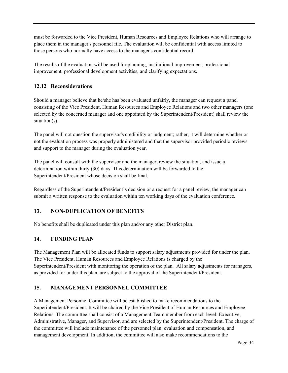must be forwarded to the Vice President, Human Resources and Employee Relations who will arrange to place them in the manager's personnel file. The evaluation will be confidential with access limited to those persons who normally have access to the manager's confidential record.

The results of the evaluation will be used for planning, institutional improvement, professional improvement, professional development activities, and clarifying expectations.

# <span id="page-33-0"></span>**12.12 Reconsiderations**

Should a manager believe that he/she has been evaluated unfairly, the manager can request a panel consisting of the Vice President, Human Resources and Employee Relations and two other managers (one selected by the concerned manager and one appointed by the Superintendent/President) shall review the situation(s).

The panel will not question the supervisor's credibility or judgment; rather, it will determine whether or not the evaluation process was properly administered and that the supervisor provided periodic reviews and support to the manager during the evaluation year.

The panel will consult with the supervisor and the manager, review the situation, and issue a determination within thirty (30) days. This determination will be forwarded to the Superintendent/President whose decision shall be final.

Regardless of the Superintendent/President's decision or a request for a panel review, the manager can submit a written response to the evaluation within ten working days of the evaluation conference.

# <span id="page-33-1"></span>**13. NON-DUPLICATION OF BENEFITS**

No benefits shall be duplicated under this plan and/or any other District plan.

# <span id="page-33-2"></span>**14. FUNDING PLAN**

The Management Plan will be allocated funds to support salary adjustments provided for under the plan. The Vice President, Human Resources and Employee Relations is charged by the Superintendent/President with monitoring the operation of the plan. All salary adjustments for managers, as provided for under this plan, are subject to the approval of the Superintendent/President.

# <span id="page-33-3"></span>**15. MANAGEMENT PERSONNEL COMMITTEE**

A Management Personnel Committee will be established to make recommendations to the Superintendent/President. It will be chaired by the Vice President of Human Resources and Employee Relations. The committee shall consist of a Management Team member from each level: Executive, Administrative, Manager, and Supervisor, and are selected by the Superintendent/President. The charge of the committee will include maintenance of the personnel plan, evaluation and compensation, and management development. In addition, the committee will also make recommendations to the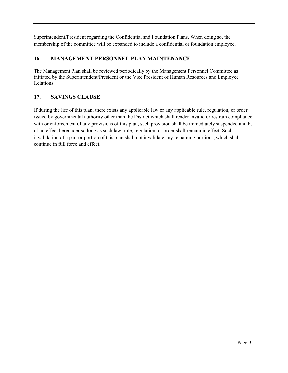Superintendent/President regarding the Confidential and Foundation Plans. When doing so, the membership of the committee will be expanded to include a confidential or foundation employee.

# **16. MANAGEMENT PERSONNEL PLAN MAINTENANCE**

The Management Plan shall be reviewed periodically by the Management Personnel Committee as initiated by the Superintendent/President or the Vice President of Human Resources and Employee Relations.

# <span id="page-34-0"></span>**17. SAVINGS CLAUSE**

If during the life of this plan, there exists any applicable law or any applicable rule, regulation, or order issued by governmental authority other than the District which shall render invalid or restrain compliance with or enforcement of any provisions of this plan, such provision shall be immediately suspended and be of no effect hereunder so long as such law, rule, regulation, or order shall remain in effect. Such invalidation of a part or portion of this plan shall not invalidate any remaining portions, which shall continue in full force and effect.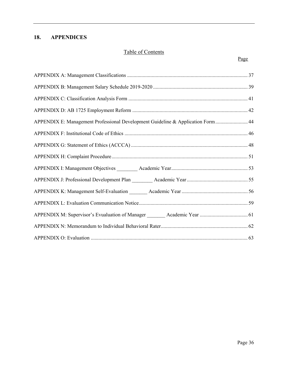# <span id="page-35-0"></span>**18. APPENDICES**

# Table of Contents

#### Page **Page**

| APPENDIX E: Management Professional Development Guideline & Application Form  44 |  |
|----------------------------------------------------------------------------------|--|
|                                                                                  |  |
|                                                                                  |  |
|                                                                                  |  |
|                                                                                  |  |
|                                                                                  |  |
|                                                                                  |  |
|                                                                                  |  |
|                                                                                  |  |
|                                                                                  |  |
|                                                                                  |  |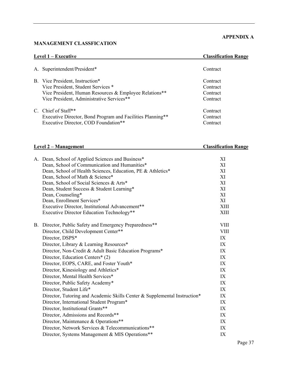#### <span id="page-36-0"></span>**MANAGEMENT CLASSFICATION**

# **APPENDIX A**

| Level $1 -$ Executive                                      | <b>Classification Range</b> |
|------------------------------------------------------------|-----------------------------|
| A. Superintendent/President*                               | Contract                    |
| B. Vice President, Instruction*                            | Contract                    |
| Vice President, Student Services *                         | Contract                    |
| Vice President, Human Resources & Employee Relations**     | Contract                    |
| Vice President, Administrative Services**                  | Contract                    |
| C. Chief of Staff <sup>**</sup>                            | Contract                    |
| Executive Director, Bond Program and Facilities Planning** | Contract                    |
| Executive Director, COD Foundation**                       | Contract                    |

# **Level 2 – Management Classification Range**

| A. Dean, School of Applied Sciences and Business*<br>Dean, School of Communication and Humanities*<br>Dean, School of Health Sciences, Education, PE & Athletics*<br>Dean, School of Math & Science*<br>Dean, School of Social Sciences & Arts*<br>Dean, Student Success & Student Learning*<br>Dean, Counseling*<br>Dean, Enrollment Services*<br>Executive Director, Institutional Advancement**<br><b>Executive Director Education Technology**</b>                                                                                                                                                          | XI<br>XI<br>XI<br>XI<br>XI<br>XI<br>XI<br>XI<br>XIII<br>XIII                                       |
|-----------------------------------------------------------------------------------------------------------------------------------------------------------------------------------------------------------------------------------------------------------------------------------------------------------------------------------------------------------------------------------------------------------------------------------------------------------------------------------------------------------------------------------------------------------------------------------------------------------------|----------------------------------------------------------------------------------------------------|
| B. Director, Public Safety and Emergency Preparedness**<br>Director, Child Development Center**<br>Director, DSPS*<br>Director, Library & Learning Resources*<br>Director, Non-Credit & Adult Basic Education Programs*<br>Director, Education Centers* (2)<br>Director, EOPS, CARE, and Foster Youth*<br>Director, Kinesiology and Athletics*<br>Director, Mental Health Services*<br>Director, Public Safety Academy*<br>Director, Student Life*<br>Director, Tutoring and Academic Skills Center & Supplemental Instruction*<br>Director, International Student Program*<br>Director, Institutional Grants** | <b>VIII</b><br><b>VIII</b><br>IX<br>IX<br>IX<br>IX<br>IX<br>IX<br>IX<br>IX<br>IX<br>IX<br>IX<br>IX |
| Director, Admissions and Records**<br>Director, Maintenance & Operations**<br>Director, Network Services & Telecommunications**<br>Director, Systems Management & MIS Operations**                                                                                                                                                                                                                                                                                                                                                                                                                              | IX<br>IX<br>IX<br>IX                                                                               |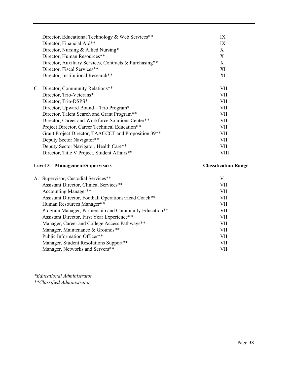| Director, Educational Technology & Web Services**<br>Director, Financial Aid**<br>Director, Nursing & Allied Nursing*<br>Director, Human Resources**<br>Director, Auxiliary Services, Contracts & Purchasing**<br>Director, Fiscal Services**<br>Director, Institutional Research**                                                                                                                                                                                               | IX<br>IX<br>X<br>X<br>X<br>XI<br>XI                                                 |
|-----------------------------------------------------------------------------------------------------------------------------------------------------------------------------------------------------------------------------------------------------------------------------------------------------------------------------------------------------------------------------------------------------------------------------------------------------------------------------------|-------------------------------------------------------------------------------------|
| C. Director, Community Relations**<br>Director, Trio-Veterans*<br>Director, Trio-DSPS*<br>Director, Upward Bound – Trio Program*<br>Director, Talent Search and Grant Program**<br>Director, Career and Workforce Solutions Center**<br>Project Director, Career Technical Education**<br>Grant Project Director, TAACCCT and Proposition 39 <sup>**</sup><br>Deputy Sector Navigator**<br>Deputy Sector Navigator, Health Care**<br>Director, Title V Project, Student Affairs** | VII<br>VII.<br>VII<br>VII<br>VII.<br><b>VII</b><br>VII<br>VII<br>VII<br>VII<br>VIII |

# **Level 3 – Management/Supervisors Classification Range**

| A. Supervisor, Custodial Services**                    | V          |
|--------------------------------------------------------|------------|
| Assistant Director, Clinical Services**                | VII        |
| Accounting Manager**                                   | <b>VII</b> |
| Assistant Director, Football Operations/Head Coach**   | VII        |
| Human Resources Manager**                              | VII        |
| Program Manager, Partnership and Community Education** | VП         |
| Assistant Director, First Year Experience**            | VII        |
| Manager, Career and College Access Pathways**          | <b>VII</b> |
| Manager, Maintenance & Grounds**                       | VII        |
| Public Information Officer**                           | <b>VII</b> |
| Manager, Student Resolutions Support**                 | VII        |
| Manager, Networks and Servers**                        | VП         |
|                                                        |            |

*\*Educational Administrator \*\*Classified Administrator*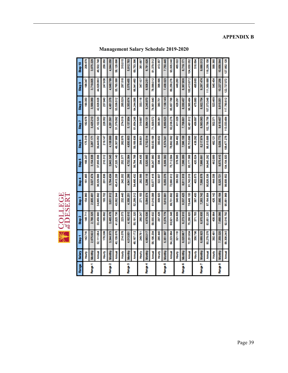# **APPENDIX B**

|  | <b>Management Salary Schedule 2019-2020</b> |  |  |  |
|--|---------------------------------------------|--|--|--|
|--|---------------------------------------------|--|--|--|

<span id="page-38-0"></span>

| <b>Range</b> | Salary         | Step <sup>1</sup> | Step <sub>2</sub> | Step <sub>3</sub> | Step 4     | Step 5            | Step6       | Step 7      | Step 8      | Step 9      | Step 10     |
|--------------|----------------|-------------------|-------------------|-------------------|------------|-------------------|-------------|-------------|-------------|-------------|-------------|
|              | <b>Hourly</b>  | 142.716           | 148.711           | 154,960           | 161.465    | 168.247           | 175.316     | 182.678     | 190.350     | 198.347     | 206.679     |
| Pange 1      | Monthly        | 2,675.922         | 2,788.325         | 2,905.491         | 3,027.474  | 3,154,638         | 3,287.171   | 3,425.210   | 3,569.069   | 3,719,005   | 3,875.229   |
|              | <b>Annual</b>  | 32,111.064        | 33,459.900        | 34,865.892        | 36,329.688 | 37,855.656        | 39,446.052  | 41,102.520  | 42,828.828  | 44,628.060  | 46,502.748  |
|              | <b>Fourly</b>  | 178.399           | 185,892           | 193,702           | 201.836    | 210.312           | 219.147     | 228,352     | 237,940     | 247,936     | 258,350     |
| Range 2      | Monthly        | 3,344.973         | 3,485.478         | 3,631.912         | 3,784.434  | 3,943.345         | 4,108.999   | 4,281.591   | 4,461,376   | 1,648.799   | 4,844.058   |
|              | <b>Annual</b>  | 40,139.676        | 41,825.736        | 43,582.944        | 45,413.208 | 47,320.140        | 19,307,988  | 51,379.092  | 53,536,512  | 55,785.588  | 58,128.696  |
|              | Hourly         | 214,076           | 223.073           | 232.440           | 242.202    | 252.377           | 262.976     | 274,019     | 285,529     | 297.518     | 310.015     |
| Range 3      | <b>Monthly</b> | 4,013.931         | 4,182.610         | 4,358.251         | 4,541,286  | 4,732.064         | 4,930,803   | 5,137.854   | 5,353,674   | 5,578,455   | 5,812.783   |
|              | <b>Annual</b>  | 48,167.172        | 50,191.320        | 52,299.012        | 54,495.432 | 56,784.768        | 59,169.636  | 61,654248   | 64,244,088  | 66,941,460  | 69,753,396  |
|              | <b>Hourly</b>  | 249.761           | 260.247           | 271,183           | 282.566    | 294,435           | 306,801     | 319,687     | 333,118     | 347,107     | 361.687     |
| Range 4      | Monthly        | 4,683.017         | 4,879.636         | 5,084.674         | 5,298,118  | 5,520.665         | 5,752.514   | 5,994.131   | 6,245,970   | 6,508.251   | 6,781.626   |
|              | <b>Annual</b>  | 56,196.204        | 58,555.632        | 61,016.088        | 63,577.416 | 66,247.980        | 59,030.168  | 71,929.572  | 74,951,640  | 78,099.012  | 81,379.512  |
|              | <b>Foury</b>   | 285,440           | 297.428           | 309.920           | 322.937    | 336.500           | 350,632     | 385.361     | 380.701     | 396.695     | 413.357     |
| Range 5      | <b>Monthly</b> | 5,351.997         | 5,576,779         | 5,810.991         | 6,055.076  | 6,309.382         | 6,574.341   | 6,850,523   | 7,138.149   | 7,438.023   | 7,750.445   |
|              | <b>Annual</b>  | 64,223.964        | 66,921.348        | 69,731.892        | 72,660.912 | 75,712.584        | 78,892.092  | 82,206.276  | 85,657.788  | 89,256,276  | 83,005.340  |
|              | Hourly         | 321.118           | 334.609           | 348.663           | 363.302    | 378.565           | 394, 462    | 411.029     | 428.291     | 146.283     | 465.022     |
| Range 6      | Monthly        | 6,020.967         | 6,273,910         | 6,537,425         | 6,811,918  | 7,098,089         | 7,396,158   | 7,706.801   | 8,030,457   | 8,367,806   | 8,719.171   |
|              | <b>Annual</b>  | 72,251,604        | 75,286.920        | 78,449.100        | 81,743.016 | 85,177.068        | 88,753,896  | 92,481,612  | 96,365.484  | 100,413.672 | 04,630.052  |
|              | Hourly         | 356.796           | 371.783           | 387.400           | 403.673    | 420.624           | 438.292     | 456.697     | 475,880     | 195,865     | 516.694     |
| Range 7      | Monthly        | 6,689.923         | 6,970.935         | 7,263,742         | 7,568.878  | 7,886.691         | 8,217.974   | 8,563,063   | 8,922.754   | 9,297,474   | 9,688.013   |
|              | <b>Annual</b>  | 80,279.076        | 83,651.220        | 87,164.904        | 90,826.536 | <b>94,640.292</b> | 98,615,688  | 102,756.756 | 07,073.048  | 111,569.688 | 16,256.156  |
|              | Hourly         | 392.481           | 408.964           | 426.142           | 444.038    | 462.689           | 482.121     | 502.371     | 523.469     | 545.454     | 568.365     |
| Range 8      | Monthly        | 7,359.020         | 7,668.066         | 7,990,164         | 8,325,721  | 8,675.410         | 9,039,773   | 9,419,457   | 9,815.051   | 10,227256   | 10,656.844  |
|              | <b>Annual</b>  | 88,308.240        | 92,016.792        | 95,881.968        | 99,908.652 | 104,104.920       | 108,477 276 | 113,033.484 | 117,780,612 | 122,727.072 | 127,882.128 |

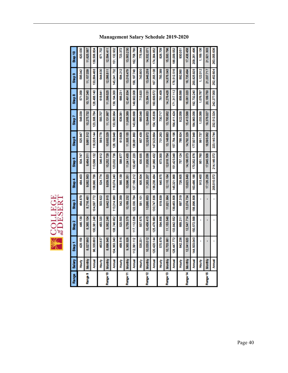| Range    | Salary         | Step <sup>1</sup> | Step 2       | Step 3      | Step 4      | Step 5      | Step6         | Step 7      | Step 8      | Step 9         | Step 10     |
|----------|----------------|-------------------|--------------|-------------|-------------|-------------|---------------|-------------|-------------|----------------|-------------|
|          | <b>Fourly</b>  | 428.159           | 146,139      | 464,879     | 184,403     | 504.747     | 525.947       | 548,039     | 571.058     | <b>595,042</b> | 620,030     |
| Range 9  | Monthly        | 8,027,990         | 8,385.104    | 8,716.481   | 9,082.563   | 9,464.011   | 9,861,512     | 10,275.732  | 10,707.345  | 11,157,039     | 11,625.567  |
|          | Annual         | 96,335,880        | 100,381.248  | 104,597.772 | 108,990.756 | 113,568.132 | 118,338.144   | 123,308.784 | 128,488.140 | 133,884,468    | 139,506.804 |
|          | <b>Four</b>    | 463,837           | 483.320      | 503.622     | 524.774     | 546.812     | 569.778       | 593,707     | 618.641     | 644,630        | 671.702     |
| Range 10 | Monthly        | 8,696.945         | 9,062.246    | 9,442.915   | 9,839,520   | 10,252.728  | 10,683,329    | 11,131,997  | 11,599,525  | 12,086.811     | 12,594.411  |
|          | Annual         | 104,363.340       | 108,746.952  | 113,314.980 | 118,074.240 | 123,032.736 | 128, 199, 948 | 133,583,964 | 139,194,300 | 145,041.732    | 151,132.932 |
|          | Hourly         | 499.516           | 520.500      | 542.359     | 565,139     | 588.877     | 613,608       | 639.381     | 666.231     | 694.212        | 723.372     |
| Range 11 | Monthly        | 9,365,926         | 9,759.378    | 10,169.232  | 10,596.351  | 11,041,435  | 11,505.155    | 11,988,389  | 12,491,834  | 13,016,479     | 13,563.230  |
|          | Annual         | 112,391.112       | 117, 112.536 | 22,030.784  | 127,156.212 | 132,497.220 | 138,061,860   | 143,860,668 | 149,902.008 | 156, 197.748   | 162,758.760 |
|          | <b>Hourly</b>  | 535.201           | 557,675      | 581,101     | 605.504     | 630,935     | 657.439       | 685,048     | 713.820     | 743,800        | 775.044     |
| Range 12 | <b>Monthly</b> | 10,035.012        | 10,456.415   | 10,895.653  | 11,353,207  | 11,830.036  | 12,326,972    | 12,844,853  | 13,384.131  | 13,946.259     | 14,532.071  |
|          | Annual         | 120,420.144       | 125,476.980  | 130,747.836 | 136,238.484 | 141,960.432 | 147,923.664   | 154,135,836 | 160,609.572 | 167,355.108    | 174,384,852 |
|          | <b>全出</b>      | 570.879           | 594,856      | 619.839     | 645.875     | 673.000     | 701263        | 730.717     | 761,409     | 793.389        | 826,709     |
| Range 13 | <b>Monthly</b> | 10,703.981        | 11,153.546   | 11,621.984  | 12,110.164  | 12,618.754  | 13,148,683    | 13,700.952  | 14,276,426  | 14,876.043     | 15,500.796  |
|          | <b>Annual</b>  | 128,447.772       | 133,842.552  | 139,463.808 | 145,321.988 | 151,425,048 | 57,784.196    | 164,411,424 | 171,317,112 | 78,512.516     | 186,009.552 |
|          | Hourly         | 642.236           | 669.211      | 697.319     | 726.605     | 757.124     | 788.924       | 822.058     | 856.588     | 892.560        | 930.051     |
| Range 14 | Monthly        | 12,041,920        | 12,547.714   | 13,074.734  | 13,623.849  | 14,196.073  | 14,792.329    | 15,413,588  | 16,061,020  | 16,735.494     | 17,438.458  |
|          | <b>Annual</b>  | 144,503,040       | 150,572.568  | 156,896.808 | 63,486.188  | 70,352.876  | 17,507,948    | 184,963.056 | 92,732240   | 200,825.928    | 209,261.496 |
|          | <b>Hourly</b>  |                   |              |             | 913.400     | 951.760     | 891.737       | 1,033.388   | 1,076.787   | 1,122.012      | 1,169.136   |
| Range 15 | Monthly        |                   |              |             | 17,126.256  | 17,845,506  | 18,595,062    | 19,376,027  | 20,189.750  | 21,037.717     | 21,921.303  |
|          | <b>Annual</b>  |                   |              |             | 205,515.072 | 214,146.072 | 223,140.744   | 232,512.324 | 242,277.000 | 252,452.604    | 263,055.636 |

**ESSACE** 

**Management Salary Schedule 2019-2020**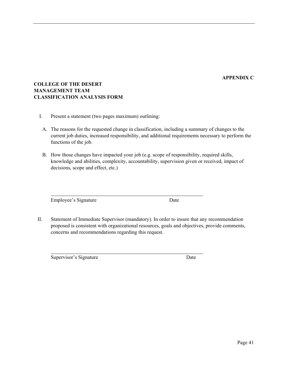# **APPENDIX C**

# <span id="page-40-0"></span>**COLLEGE OF THE DESERT MANAGEMENT TEAM CLASSIFICATION ANALYSIS FORM**

- I. Present a statement (two pages maximum) outlining:
	- A. The reasons for the requested change in classification, including a summary of changes to the current job duties, increased responsibility, and additional requirements necessary to perform the functions of the job.
	- B. How those changes have impacted your job (e.g. scope of responsibility, required skills, knowledge and abilities, complexity, accountability, supervision given or received, impact of decisions, scope and effect, etc.)

Employee's Signature Date

II. Statement of Immediate Supervisor (mandatory). In order to insure that any recommendation proposed is consistent with organizational resources, goals and objectives, provide comments, concerns and recommendations regarding this request.

Supervisor's Signature Date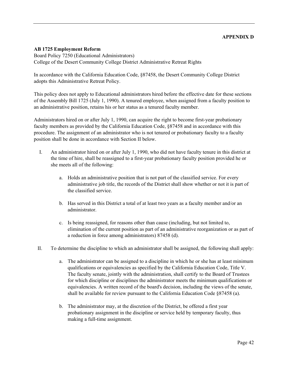#### **APPENDIX D**

#### <span id="page-41-0"></span>**AB 1725 Employment Reform**

Board Policy 7250 (Educational Administrators) College of the Desert Community College District Administrative Retreat Rights

In accordance with the California Education Code, §87458, the Desert Community College District adopts this Administrative Retreat Policy.

This policy does not apply to Educational administrators hired before the effective date for these sections of the Assembly Bill 1725 (July 1, 1990). A tenured employee, when assigned from a faculty position to an administrative position, retains his or her status as a tenured faculty member.

Administrators hired on or after July 1, 1990, can acquire the right to become first-year probationary faculty members as provided by the California Education Code, §87458 and in accordance with this procedure. The assignment of an administrator who is not tenured or probationary faculty to a faculty position shall be done in accordance with Section II below.

- I. An administrator hired on or after July 1, 1990, who did not have faculty tenure in this district at the time of hire, shall be reassigned to a first-year probationary faculty position provided he or she meets all of the following:
	- a. Holds an administrative position that is not part of the classified service. For every administrative job title, the records of the District shall show whether or not it is part of the classified service.
	- b. Has served in this District a total of at least two years as a faculty member and/or an administrator.
	- c. Is being reassigned, for reasons other than cause (including, but not limited to, elimination of the current position as part of an administrative reorganization or as part of a reduction in force among administrators) 87458 (d).
- II. To determine the discipline to which an administrator shall be assigned, the following shall apply:
	- a. The administrator can be assigned to a discipline in which he or she has at least minimum qualifications or equivalencies as specified by the California Education Code, Title V. The faculty senate, jointly with the administration, shall certify to the Board of Trustees for which discipline or disciplines the administrator meets the minimum qualifications or equivalencies. A written record of the board's decision, including the views of the senate, shall be available for review pursuant to the California Education Code §87458 (a).
	- b. The administrator may, at the discretion of the District, be offered a first year probationary assignment in the discipline or service held by temporary faculty, thus making a full-time assignment.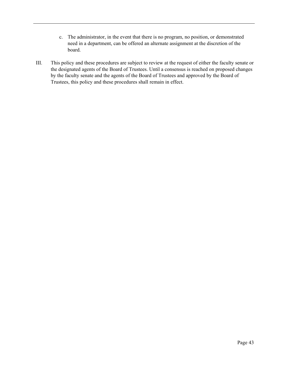- c. The administrator, in the event that there is no program, no position, or demonstrated need in a department, can be offered an alternate assignment at the discretion of the board.
- III. This policy and these procedures are subject to review at the request of either the faculty senate or the designated agents of the Board of Trustees. Until a consensus is reached on proposed changes by the faculty senate and the agents of the Board of Trustees and approved by the Board of Trustees, this policy and these procedures shall remain in effect.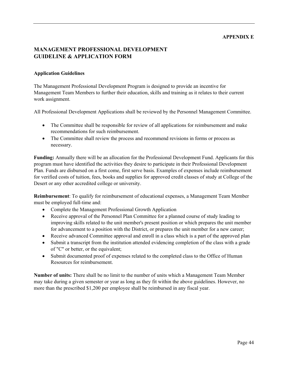#### **APPENDIX E**

# <span id="page-43-0"></span>**MANAGEMENT PROFESSIONAL DEVELOPMENT GUIDELINE & APPLICATION FORM**

#### **Application Guidelines**

The Management Professional Development Program is designed to provide an incentive for Management Team Members to further their education, skills and training as it relates to their current work assignment.

All Professional Development Applications shall be reviewed by the Personnel Management Committee.

- The Committee shall be responsible for review of all applications for reimbursement and make recommendations for such reimbursement.
- The Committee shall review the process and recommend revisions in forms or process as necessary.

**Funding:** Annually there will be an allocation for the Professional Development Fund. Applicants for this program must have identified the activities they desire to participate in their Professional Development Plan. Funds are disbursed on a first come, first serve basis. Examples of expenses include reimbursement for verified costs of tuition, fees, books and supplies for approved credit classes of study at College of the Desert or any other accredited college or university.

**Reimbursement**: To qualify for reimbursement of educational expenses, a Management Team Member must be employed full-time and:

- Complete the Management Professional Growth Application
- Receive approval of the Personnel Plan Committee for a planned course of study leading to improving skills related to the unit member's present position or which prepares the unit member for advancement to a position with the District, or prepares the unit member for a new career;
- Receive advanced Committee approval and enroll in a class which is a part of the approved plan
- Submit a transcript from the institution attended evidencing completion of the class with a grade of "C" or better, or the equivalent;
- Submit documented proof of expenses related to the completed class to the Office of Human Resources for reimbursement.

**Number of units:** There shall be no limit to the number of units which a Management Team Member may take during a given semester or year as long as they fit within the above guidelines. However, no more than the prescribed \$1,200 per employee shall be reimbursed in any fiscal year.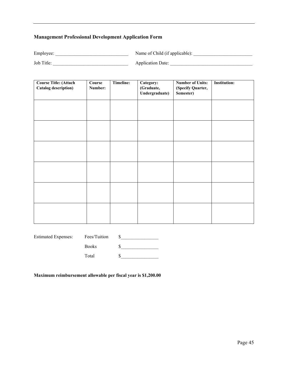# **Management Professional Development Application Form**

Employee: \_\_\_\_\_\_\_\_\_\_\_\_\_\_\_\_\_\_\_\_\_\_\_\_\_\_\_\_\_\_\_ Name of Child (if applicable): \_\_\_\_\_\_\_\_\_\_\_\_\_\_\_\_\_\_\_\_\_\_\_\_\_

Job Title: \_\_\_\_\_\_\_\_\_\_\_\_\_\_\_\_\_\_\_\_\_\_\_\_\_\_\_\_\_\_\_\_ Application Date: \_\_\_\_\_\_\_\_\_\_\_\_\_\_\_\_\_\_\_\_\_\_\_\_\_\_\_\_\_\_\_\_\_\_\_

| <b>Course Title: (Attach</b><br><b>Catalog description)</b> | Course<br>Number: | Timeline: | Category:<br>(Graduate,<br>Undergraduate) | <b>Number of Units:</b><br>(Specify Quarter,<br>Semester) | <b>Institution:</b> |
|-------------------------------------------------------------|-------------------|-----------|-------------------------------------------|-----------------------------------------------------------|---------------------|
|                                                             |                   |           |                                           |                                                           |                     |
|                                                             |                   |           |                                           |                                                           |                     |
|                                                             |                   |           |                                           |                                                           |                     |
|                                                             |                   |           |                                           |                                                           |                     |
|                                                             |                   |           |                                           |                                                           |                     |
|                                                             |                   |           |                                           |                                                           |                     |

| <b>Estimated Expenses:</b> | Fees/Tuition |  |
|----------------------------|--------------|--|
|                            | <b>Books</b> |  |
|                            | Total        |  |

**Maximum reimbursement allowable per fiscal year is \$1,200.00**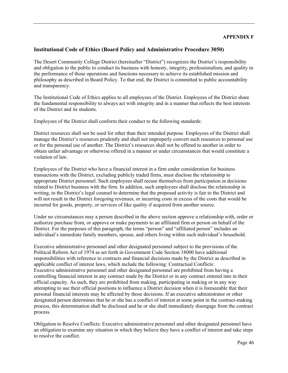### <span id="page-45-0"></span>**Institutional Code of Ethics (Board Policy and Administrative Procedure 3050)**

The Desert Community College District (hereinafter "District") recognizes the District's responsibility and obligation to the public to conduct its business with honesty, integrity, professionalism, and quality in the performance of those operations and functions necessary to achieve its established mission and philosophy as described in Board Policy. To that end, the District is committed to public accountability and transparency.

The Institutional Code of Ethics applies to all employees of the District. Employees of the District share the fundamental responsibility to always act with integrity and in a manner that reflects the best interests of the District and its students.

Employees of the District shall conform their conduct to the following standards:

District resources shall not be used for other than their intended purpose. Employees of the District shall manage the District's resources prudently and shall not improperly convert such resources to personal use or for the personal use of another. The District's resources shall not be offered to another in order to obtain unfair advantage or otherwise offered in a manner or under circumstances that would constitute a violation of law.

Employees of the District who have a financial interest in a firm under consideration for business transactions with the District, excluding publicly traded firms, must disclose the relationship to appropriate District personnel. Such employees shall recuse themselves from participation in decisions related to District business with the firm. In addition, such employees shall disclose the relationship in writing, to the District's legal counsel to determine that the proposed activity is fair to the District and will not result in the District foregoing revenues, or incurring costs in excess of the costs that would be incurred for goods, property, or services of like quality if acquired from another source.

Under no circumstances may a person described in the above section approve a relationship with, order or authorize purchase from, or approve or make payments to an affiliated firm or person on behalf of the District. For the purposes of this paragraph, the terms "person" and "affiliated person" includes an individual's immediate family members, spouse, and others living within such individual's household.

Executive administrative personnel and other designated personnel subject to the provisions of the Political Reform Act of 1974 as set forth in Government Code Section 18000 have additional responsibilities with reference to contracts and financial decisions made by the District as described in applicable conflict of interest laws, which include the following: Contractual Conflicts: Executive administrative personnel and other designated personnel are prohibited from having a controlling financial interest in any contract made by the District or in any contract entered into in their official capacity. As such, they are prohibited from making, participating in making or in any way attempting to use their official positions to influence a District decision when it is foreseeable that their personal financial interests may be affected by those decisions. If an executive administrator or other designated person determines that he or she has a conflict of interest at some point in the contract-making process, this determination shall be disclosed and he or she shall immediately disengage from the contract process.

Obligation to Resolve Conflicts: Executive administrative personnel and other designated personnel have an obligation to examine any situation in which they believe they have a conflict of interest and take steps to resolve the conflict.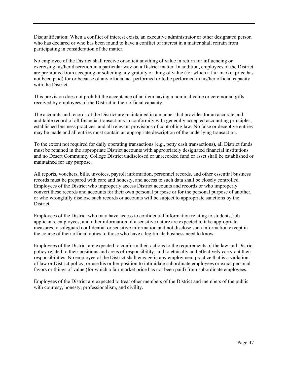Disqualification: When a conflict of interest exists, an executive administrator or other designated person who has declared or who has been found to have a conflict of interest in a matter shall refrain from participating in consideration of the matter.

No employee of the District shall receive or solicit anything of value in return for influencing or exercising his/her discretion in a particular way on a District matter. In addition, employees of the District are prohibited from accepting or soliciting any gratuity or thing of value (for which a fair market price has not been paid) for or because of any official act performed or to be performed in his/her official capacity with the District.

This provision does not prohibit the acceptance of an item having a nominal value or ceremonial gifts received by employees of the District in their official capacity.

The accounts and records of the District are maintained in a manner that provides for an accurate and auditable record of all financial transactions in conformity with generally accepted accounting principles, established business practices, and all relevant provisions of controlling law. No false or deceptive entries may be made and all entries must contain an appropriate description of the underlying transaction.

To the extent not required for daily operating transactions (e.g., petty cash transactions), all District funds must be retained in the appropriate District accounts with appropriately designated financial institutions and no Desert Community College District undisclosed or unrecorded fund or asset shall be established or maintained for any purpose.

All reports, vouchers, bills, invoices, payroll information, personnel records, and other essential business records must be prepared with care and honesty, and access to such data shall be closely controlled. Employees of the District who improperly access District accounts and records or who improperly convert these records and accounts for their own personal purpose or for the personal purpose of another, or who wrongfully disclose such records or accounts will be subject to appropriate sanctions by the District.

Employees of the District who may have access to confidential information relating to students, job applicants, employees, and other information of a sensitive nature are expected to take appropriate measures to safeguard confidential or sensitive information and not disclose such information except in the course of their official duties to those who have a legitimate business need to know.

Employees of the District are expected to conform their actions to the requirements of the law and District policy related to their positions and areas of responsibility, and to ethically and effectively carry out their responsibilities. No employee of the District shall engage in any employment practice that is a violation of law or District policy, or use his or her position to intimidate subordinate employees or exact personal favors or things of value (for which a fair market price has not been paid) from subordinate employees.

Employees of the District are expected to treat other members of the District and members of the public with courtesy, honesty, professionalism, and civility.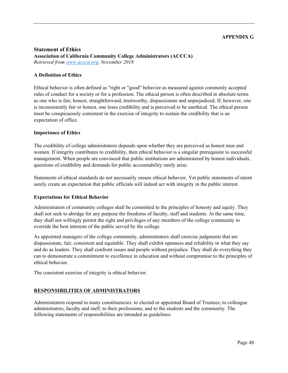#### **APPENDIX G**

#### <span id="page-47-0"></span>**Statement of Ethics Association of California Community College Administrators (ACCCA)**  *Retrieved from [www.accca.org,](http://www.accca.org/) November 2018*

#### **A Definition of Ethics**

Ethical behavior is often defined as "right or "good" behavior as measured against commonly accepted rules of conduct for a society or for a profession. The ethical person is often described in absolute terms as one who is fair, honest, straightforward, trustworthy, dispassionate and unprejudiced. If, however, one is inconsistently fair or honest, one loses credibility and is perceived to be unethical. The ethical person must be conspicuously consistent in the exercise of integrity to sustain the credibility that is an expectation of office.

#### **Importance of Ethics**

The credibility of college administrators depends upon whether they are perceived as honest men and women. If integrity contributes to credibility, then ethical behavior is a singular prerequisite to successful management. When people are convinced that public institutions are administered by honest individuals, questions of credibility and demands for public accountability rarely arise.

Statements of ethical standards do not necessarily ensure ethical behavior. Yet public statements of intent surely create an expectation that public officials will indeed act with integrity in the public interest.

#### **Expectations for Ethical Behavior**

Administrators of community colleges shall be committed to the principles of honesty and equity. They shall not seek to abridge for any purpose the freedoms of faculty, staff and students. At the same time, they shall not willingly permit the right and privileges of any members of the college community to override the best interests of the public served by the college.

As appointed managers of the college community, administrators shall exercise judgments that are dispassionate, fair, consistent and equitable. They shall exhibit openness and reliability in what they say and do as leaders. They shall confront issues and people without prejudice. They shall do everything they can to demonstrate a commitment to excellence in education and without compromise to the principles of ethical behavior.

The consistent exercise of integrity is ethical behavior.

#### **RESPONSIBILITIES OF ADMINISTRATORS**

Administrators respond to many constituencies: to elected or appointed Board of Trustees; to colleague administrators, faculty and staff; to their professions; and to the students and the community. The following statements of responsibilities are intended as guidelines: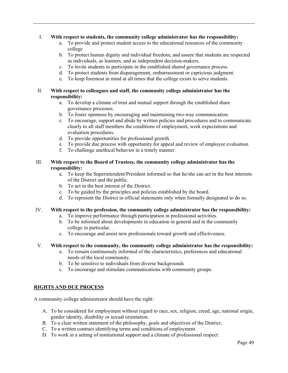#### I. **With respect to students, the community college administrator has the responsibility:**

- a. To provide and protect student access to the educational resources of the community college
- b. To protect human dignity and individual freedom, and assure that students are respected as individuals, as learners, and as independent decision-makers.
- c. To invite students to participate in the established shared governance process.
- d. To protect students from disparagement, embarrassment or capricious judgment.
- e. To keep foremost in mind at all times that the college exists to serve students.

#### II. **With respect to colleagues and staff, the community college administrator has the responsibility:**

- a. To develop a climate of trust and mutual support through the established share governance processes.
- b. To foster openness by encouraging and maintaining two-way communication.
- c. To encourage, support and abide by written policies and procedures and to communicate clearly to all staff members the conditions of employment, work expectations and evaluation procedures.
- d. To provide opportunities for professional growth.
- e. To provide due process with opportunity for appeal and review of employee evaluation.
- f. To challenge unethical behavior in a timely manner.

#### III. **With respect to the Board of Trustees, the community college administrator has the responsibility:**

- a. To keep the Superintendent/President informed so that he/she can act in the best interests of the District and the public.
- b. To act in the best interest of the District.
- c. To be guided by the principles and policies established by the board.
- d. To represent the District in official statements only when formally designated to do so.

#### IV. **With respect to the profession, the community college administrator has the responsibility:**

- a. To improve performance through participation in professional activities.
- b. To be informed about developments in education in general and in the community college in particular.
- c. To encourage and assist new professionals toward growth and effectiveness.

#### V. **With respect to the community, the community college administrator has the responsibility:**

- a. To remain continuously informed of the characteristics, preferences and educational needs of the local community.
- b. To be sensitive to individuals from diverse backgrounds
- c. To encourage and stimulate communications with community groups.

# **RIGHTS AND DUE PROCESS**

A community college administrator should have the right:

- A. To be considered for employment without regard to race, sex, religion, creed, age, national origin, gender identity, disability or sexual orientation.
- B. To a clear written statement of the philosophy, goals and objectives of the District.
- C. To a written contract identifying terms and conditions of employment.
- D. To work in a setting of institutional support and a climate of professional respect.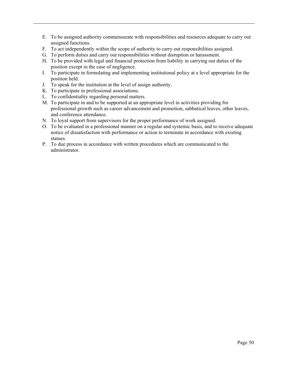- E. To be assigned authority commensurate with responsibilities and resources adequate to carry out assigned functions.
- F. To act independently within the scope of authority to carry out responsibilities assigned.
- G. To perform duties and carry out responsibilities without disruption or harassment.
- H. To be provided with legal and financial protection from liability in carrying out duties of the position except in the case of negligence.
- I. To participate in formulating and implementing institutional policy at a level appropriate for the position held.
- J. To speak for the institution at the level of assign authority.
- K. To participate in professional associations.
- L. To confidentiality regarding personal matters.
- M. To participate in and to be supported at an appropriate level in activities providing for professional growth such as career advancement and promotion, sabbatical leaves, other leaves, and conference attendance.
- N. To loyal support from supervisors for the proper performance of work assigned.
- O. To be evaluated in a professional manner on a regular and systemic basis, and to receive adequate notice of dissatisfaction with performance or action to terminate in accordance with existing statues.
- P. To due process in accordance with written procedures which are communicated to the administrator.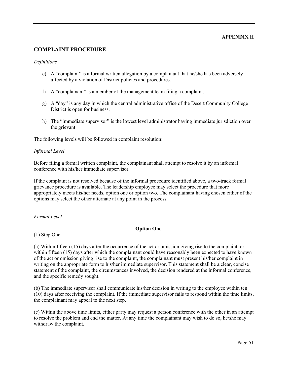#### **APPENDIX H**

# <span id="page-50-0"></span>**COMPLAINT PROCEDURE**

#### *Definitions*

- e) A "complaint" is a formal written allegation by a complainant that he/she has been adversely affected by a violation of District policies and procedures.
- f) A "complainant" is a member of the management team filing a complaint.
- g) A "day" is any day in which the central administrative office of the Desert Community College District is open for business.
- h) The "immediate supervisor" is the lowest level administrator having immediate jurisdiction over the grievant.

The following levels will be followed in complaint resolution:

#### *Informal Level*

Before filing a formal written complaint, the complainant shall attempt to resolve it by an informal conference with his/her immediate supervisor.

If the complaint is not resolved because of the informal procedure identified above, a two-track formal grievance procedure is available. The leadership employee may select the procedure that more appropriately meets his/her needs, option one or option two. The complainant having chosen either of the options may select the other alternate at any point in the process.

*Formal Level*

#### **Option One**

(1) Step One

(a) Within fifteen (15) days after the occurrence of the act or omission giving rise to the complaint, or within fifteen (15) days after which the complainant could have reasonably been expected to have known of the act or omission giving rise to the complaint, the complainant must present his/her complaint in writing on the appropriate form to his/her immediate supervisor. This statement shall be a clear, concise statement of the complaint, the circumstances involved, the decision rendered at the informal conference, and the specific remedy sought.

(b) The immediate supervisor shall communicate his/her decision in writing to the employee within ten (10) days after receiving the complaint. If the immediate supervisor fails to respond within the time limits, the complainant may appeal to the next step.

(c) Within the above time limits, either party may request a person conference with the other in an attempt to resolve the problem and end the matter. At any time the complainant may wish to do so, he/she may withdraw the complaint.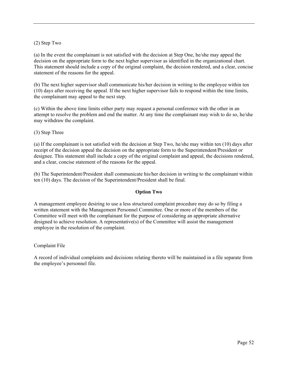#### (2) Step Two

(a) In the event the complainant is not satisfied with the decision at Step One, he/she may appeal the decision on the appropriate form to the next higher supervisor as identified in the organizational chart. This statement should include a copy of the original complaint, the decision rendered, and a clear, concise statement of the reasons for the appeal.

(b) The next higher supervisor shall communicate his/her decision in writing to the employee within ten (10) days after receiving the appeal. If the next higher supervisor fails to respond within the time limits, the complainant may appeal to the next step.

(c) Within the above time limits either party may request a personal conference with the other in an attempt to resolve the problem and end the matter. At any time the complainant may wish to do so, he/she may withdraw the complaint.

#### (3) Step Three

(a) If the complainant is not satisfied with the decision at Step Two, he/she may within ten (10) days after receipt of the decision appeal the decision on the appropriate form to the Superintendent/President or designee. This statement shall include a copy of the original complaint and appeal, the decisions rendered, and a clear, concise statement of the reasons for the appeal.

(b) The Superintendent/President shall communicate his/her decision in writing to the complainant within ten (10) days. The decision of the Superintendent/President shall be final.

#### **Option Two**

A management employee desiring to use a less structured complaint procedure may do so by filing a written statement with the Management Personnel Committee. One or more of the members of the Committee will meet with the complainant for the purpose of considering an appropriate alternative designed to achieve resolution. A representative(s) of the Committee will assist the management employee in the resolution of the complaint.

#### Complaint File

A record of individual complaints and decisions relating thereto will be maintained in a file separate from the employee's personnel file.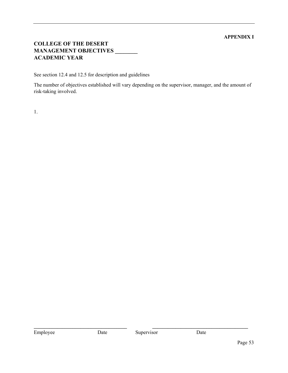# **APPENDIX I**

# <span id="page-52-0"></span>**COLLEGE OF THE DESERT MANAGEMENT OBJECTIVES \_\_\_\_\_\_\_\_ ACADEMIC YEAR**

See section 12.4 and 12.5 for description and guidelines

The number of objectives established will vary depending on the supervisor, manager, and the amount of risk-taking involved.

1.

**\_\_\_\_\_\_\_\_\_\_\_\_\_\_\_\_\_\_\_\_\_\_\_\_\_\_\_\_\_\_\_\_\_\_\_\_ \_\_\_\_\_\_\_\_\_\_\_\_\_\_\_\_\_\_\_\_\_\_\_\_\_\_\_\_\_\_\_\_\_\_\_\_\_**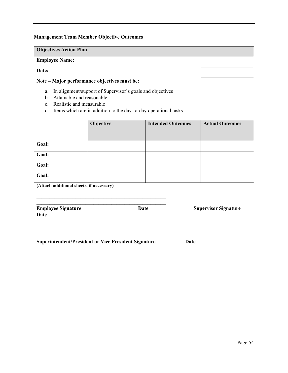# **Management Team Member Objective Outcomes**

| <b>Objectives Action Plan</b>                                                             |                                                                                                                              |                          |      |                             |
|-------------------------------------------------------------------------------------------|------------------------------------------------------------------------------------------------------------------------------|--------------------------|------|-----------------------------|
| <b>Employee Name:</b>                                                                     |                                                                                                                              |                          |      |                             |
| Date:                                                                                     |                                                                                                                              |                          |      |                             |
| Note - Major performance objectives must be:                                              |                                                                                                                              |                          |      |                             |
| a.<br>Attainable and reasonable<br>b.<br>Realistic and measurable<br>$\mathbf{c}$ .<br>d. | In alignment/support of Supervisor's goals and objectives<br>Items which are in addition to the day-to-day operational tasks |                          |      |                             |
|                                                                                           | Objective                                                                                                                    | <b>Intended Outcomes</b> |      | <b>Actual Outcomes</b>      |
|                                                                                           |                                                                                                                              |                          |      |                             |
| Goal:                                                                                     |                                                                                                                              |                          |      |                             |
| Goal:                                                                                     |                                                                                                                              |                          |      |                             |
| Goal:                                                                                     |                                                                                                                              |                          |      |                             |
| Goal:                                                                                     |                                                                                                                              |                          |      |                             |
| (Attach additional sheets, if necessary)                                                  |                                                                                                                              |                          |      |                             |
| <b>Employee Signature</b><br>Date                                                         |                                                                                                                              | <b>Date</b>              |      | <b>Supervisor Signature</b> |
| <b>Superintendent/President or Vice President Signature</b>                               |                                                                                                                              |                          | Date |                             |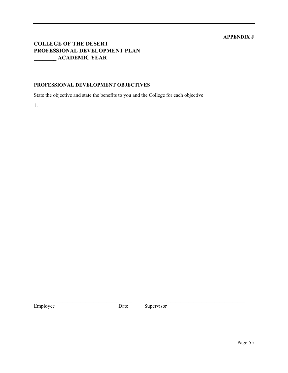# **APPENDIX J**

# <span id="page-54-0"></span>**COLLEGE OF THE DESERT PROFESSIONAL DEVELOPMENT PLAN \_\_\_\_\_\_\_\_ ACADEMIC YEAR**

#### **PROFESSIONAL DEVELOPMENT OBJECTIVES**

State the objective and state the benefits to you and the College for each objective

1.

Employee Date Supervisor

\_\_\_\_\_\_\_\_\_\_\_\_\_\_\_\_\_\_\_\_\_\_\_\_\_\_\_\_\_\_\_\_\_\_\_\_\_\_ \_\_\_\_\_\_\_\_\_\_\_\_\_\_\_\_\_\_\_\_\_\_\_\_\_\_\_\_\_\_\_\_\_\_\_\_\_\_\_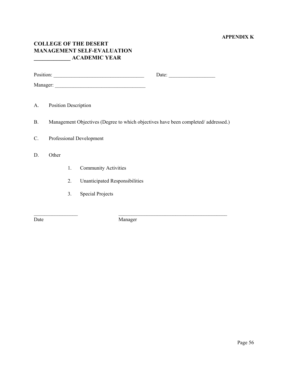# **APPENDIX K**

# <span id="page-55-0"></span>**COLLEGE OF THE DESERT MANAGEMENT SELF-EVALUATION \_\_\_\_\_\_\_\_\_\_\_\_\_ ACADEMIC YEAR**

|           |                             |    |                                | Date: $\qquad \qquad$                                                             |
|-----------|-----------------------------|----|--------------------------------|-----------------------------------------------------------------------------------|
|           |                             |    |                                |                                                                                   |
|           |                             |    |                                |                                                                                   |
| A.        | <b>Position Description</b> |    |                                |                                                                                   |
| <b>B.</b> |                             |    |                                | Management Objectives (Degree to which objectives have been completed/addressed.) |
| C.        |                             |    | Professional Development       |                                                                                   |
| D.        | Other                       |    |                                |                                                                                   |
|           |                             | 1. | <b>Community Activities</b>    |                                                                                   |
|           |                             | 2. | Unanticipated Responsibilities |                                                                                   |
|           |                             | 3. | <b>Special Projects</b>        |                                                                                   |
|           |                             |    |                                |                                                                                   |

\_\_\_\_\_\_\_\_\_\_\_\_\_\_\_\_\_ \_\_\_\_\_\_\_\_\_\_\_\_\_\_\_\_\_\_\_\_\_\_\_\_\_\_\_\_\_\_\_\_\_\_\_\_\_\_\_\_\_\_ Date Manager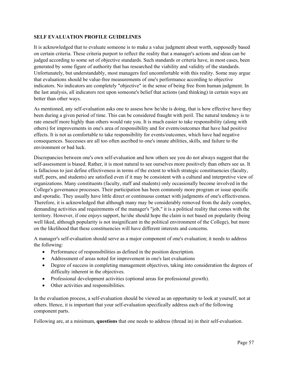#### **SELF EVALUATION PROFILE GUIDELINES**

It is acknowledged that to evaluate someone is to make a value judgment about worth, supposedly based on certain criteria. These criteria purport to reflect the reality that a manager's actions and ideas can be judged according to some set of objective standards. Such standards or criteria have, in most cases, been generated by some figure of authority that has researched the viability and validity of the standards. Unfortunately, but understandably, most managers feel uncomfortable with this reality. Some may argue that evaluations should be value-free measurements of one's performance according to objective indicators. No indicators are completely "objective" in the sense of being free from human judgment. In the last analysis, all indicators rest upon someone's belief that actions (and thinking) in certain ways are better than other ways.

As mentioned, any self-evaluation asks one to assess how he/she is doing, that is how effective have they been during a given period of time. This can be considered fraught with peril. The natural tendency is to rate oneself more highly than others would rate you. It is much easier to take responsibility (along with others) for improvements in one's area of responsibility and for events/outcomes that have had positive effects. It is not as comfortable to take responsibility for events/outcomes, which have had negative consequences. Successes are all too often ascribed to one's innate abilities, skills, and failure to the environment or bad luck.

Discrepancies between one's own self-evaluation and how others see you do not always suggest that the self-assessment is biased. Rather, it is most natural to see ourselves more positively than others see us. It is fallacious to just define effectiveness in terms of the extent to which strategic constituencies (faculty, staff, peers, and students) are satisfied even if it may be consistent with a cultural and interpretive view of organizations. Many constituents (faculty, staff and students) only occasionally become involved in the College's governance processes. Their participation has been commonly more program or issue specific and sporadic. They usually have little direct or continuous contact with judgments of one's effectiveness. Therefore, it is acknowledged that although many may be considerably removed from the daily complex, demanding activities and requirements of the manager's "job," it is a political reality that comes with the territory. However, if one enjoys support, he/she should hope the claim is not based on popularity (being well liked, although popularity is not insignificant in the political environment of the College), but more on the likelihood that these constituencies will have different interests and concerns.

A manager's self-evaluation should serve as a major component of one's evaluation; it needs to address the following:

- Performance of responsibilities as defined in the position description.
- Addressment of areas noted for improvement in one's last evaluations
- Degree of success in completing management objectives, taking into consideration the degrees of difficulty inherent in the objectives.
- Professional development activities (optional areas for professional growth).
- Other activities and responsibilities.

In the evaluation process, a self-evaluation should be viewed as an opportunity to look at yourself, not at others. Hence, it is important that your self-evaluation specifically address each of the following component parts.

Following are, at a minimum, **questions** that one needs to address (thread in) in their self-evaluation.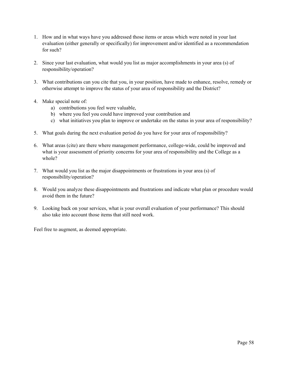- 1. How and in what ways have you addressed those items or areas which were noted in your last evaluation (either generally or specifically) for improvement and/or identified as a recommendation for such?
- 2. Since your last evaluation, what would you list as major accomplishments in your area (s) of responsibility/operation?
- 3. What contributions can you cite that you, in your position, have made to enhance, resolve, remedy or otherwise attempt to improve the status of your area of responsibility and the District?
- 4. Make special note of:
	- a) contributions you feel were valuable,
	- b) where you feel you could have improved your contribution and
	- c) what initiatives you plan to improve or undertake on the status in your area of responsibility?
- 5. What goals during the next evaluation period do you have for your area of responsibility?
- 6. What areas (cite) are there where management performance, college-wide, could be improved and what is your assessment of priority concerns for your area of responsibility and the College as a whole?
- 7. What would you list as the major disappointments or frustrations in your area (s) of responsibility/operation?
- 8. Would you analyze these disappointments and frustrations and indicate what plan or procedure would avoid them in the future?
- 9. Looking back on your services, what is your overall evaluation of your performance? This should also take into account those items that still need work.

Feel free to augment, as deemed appropriate.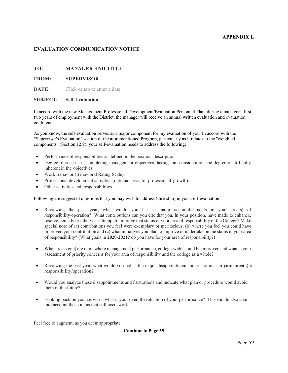#### **APPENDIX L**

#### <span id="page-58-0"></span>**EVALUATION COMMUNICATION NOTICE**

#### **TO: MANAGER AND TITLE**

#### **FROM: SUPERVISOR**

**DATE:** Click or tap to enter a date.

#### **SUBJECT: Self-Evaluation**

In accord with the new Management Professional Development/Evaluation Personnel Plan, during a manager's first two years of employment with the District, the manager will receive an annual written evaluation and evaluation conference.

As you know, the self-evaluation serves as a major component for my evaluation of you. In accord with the "Supervisor's Evaluation" section of the aforementioned Program, particularly as it relates to the ''weighted components" (Section 12.9), your self-evaluation needs to address the following:

- Performance of responsibilities as defined in the position description.
- Degree of success in completing management objectives, taking into consideration the degree of difficulty inherent in the objectives.
- Work Behavior (Behavioral Rating Scale).
- Professional development activities (optional areas for professional growth).
- Other activities and responsibilities.

Following are suggested questions that you may wish to address (thread in) in your self-evaluation.

- Reviewing the past year, what would you list as major accomplishments in your area(s) of responsibility/operation? What contributions can you cite that you, in your position, have made to enhance, resolve, remedy or otherwise attempt to improve that status of your area of responsibility or the College? Make special note of (a) contributions you feel were exemplary or meritorious, (b) where you feel you could have improved your contribution and (c) what initiatives you plan to improve or undertake on the status in your area of responsibility? (What goals in **2020-2021?** do you have for your area of responsibility?)
- What areas (cite) are there where management performance, college-wide, could be improved and what is your assessment of priority concerns for your area of responsibility and the college as a whole?
- Reviewing the past year, what would you list as the major disappointments or frustrations in **your** area(s) of responsibility/operation?
- Would you analyze these disappointments and frustrations and indicate what plan or procedure would avoid them in the future?
- Looking back on your services, what is your overall evaluation of your performance? This should also take into account those items that still need work.

Feel free to augment, as you deemappropriate.

**Continue to Page 55**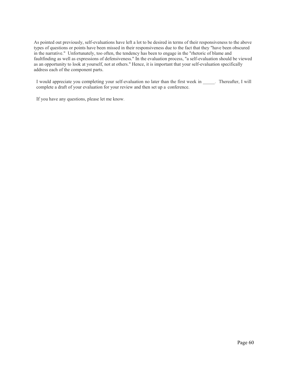As pointed out previously, self-evaluations have left a lot to be desired in terms of their responsiveness to the above types of questions or points have been missed in their responsiveness due to the fact that they "have been obscured in the narrative." Unfortunately, too often, the tendency has been to engage in the "rhetoric of blame and faultfinding as well as expressions of defensiveness." In the evaluation process, "a self-evaluation should be viewed as an opportunity to look at yourself, not at others." Hence, it is important that your self-evaluation specifically address each of the component parts.

I would appreciate you completing your self-evaluation no later than the first week in \_\_\_\_\_. Thereafter, I will complete a draft of your evaluation for your review and then set up a conference.

If you have any questions, please let me know.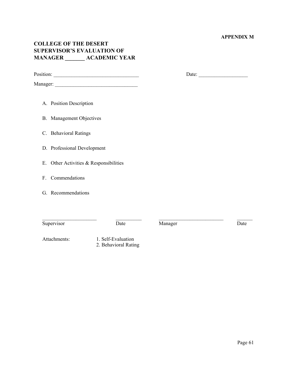#### **APPENDIX M**

# <span id="page-60-0"></span>**COLLEGE OF THE DESERT SUPERVISOR'S EVALUATION OF MANAGER \_\_\_\_\_\_\_ ACADEMIC YEAR**

Position: \_\_\_\_\_\_\_\_\_\_\_\_\_\_\_\_\_\_\_\_\_\_\_\_\_\_\_\_\_\_\_\_\_ Date: \_\_\_\_\_\_\_\_\_\_\_\_\_\_\_\_\_\_\_

Manager: \_\_\_\_\_\_\_\_\_\_\_\_\_\_\_\_\_\_\_\_\_\_\_\_\_\_\_\_\_\_\_\_

A. Position Description

B. Management Objectives

C. Behavioral Ratings

D. Professional Development

E. Other Activities & Responsibilities

F. Commendations

G. Recommendations

\_\_\_\_\_\_\_\_\_\_\_\_\_\_\_\_\_\_\_\_\_ \_\_\_\_\_\_\_\_\_\_ \_\_\_\_\_\_\_\_\_\_\_\_\_\_\_\_\_\_\_\_\_\_\_\_\_ \_\_\_\_\_\_ Supervisor Date Date Manager Date Date

Attachments: 1. Self-Evaluation 2. Behavioral Rating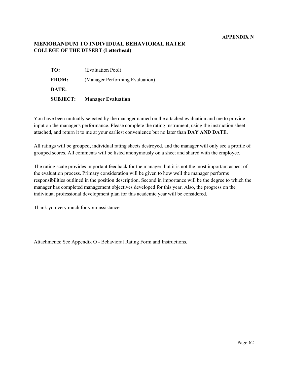#### **APPENDIX N**

# <span id="page-61-0"></span>**MEMORANDUM TO INDIVIDUAL BEHAVIORAL RATER COLLEGE OF THE DESERT (Letterhead)**

| <b>SUBJECT:</b> | <b>Manager Evaluation</b>       |
|-----------------|---------------------------------|
| DATE:           |                                 |
| <b>FROM:</b>    | (Manager Performing Evaluation) |
| TO:             | (Evaluation Pool)               |

You have been mutually selected by the manager named on the attached evaluation and me to provide input on the manager's performance. Please complete the rating instrument, using the instruction sheet attached, and return it to me at your earliest convenience but no later than **DAY AND DATE**.

All ratings will be grouped, individual rating sheets destroyed, and the manager will only see a profile of grouped scores. All comments will be listed anonymously on a sheet and shared with the employee.

The rating scale provides important feedback for the manager, but it is not the most important aspect of the evaluation process. Primary consideration will be given to how well the manager performs responsibilities outlined in the position description. Second in importance will be the degree to which the manager has completed management objectives developed for this year. Also, the progress on the individual professional development plan for this academic year will be considered.

Thank you very much for your assistance.

Attachments: See Appendix O - Behavioral Rating Form and Instructions.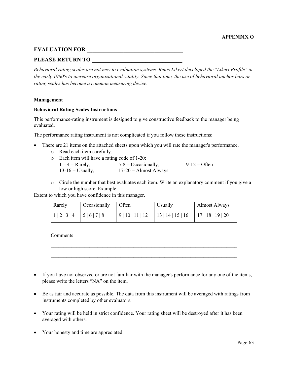# <span id="page-62-0"></span>**EVALUATION FOR \_\_\_\_\_\_\_\_\_\_\_\_\_\_\_\_\_\_\_\_\_\_\_\_\_\_\_\_\_\_\_\_\_\_**

# PLEASE RETURN TO

*Behavioral rating scales are not new to evaluation systems. Renis Likert developed the "Likert Profile" in the early 1960's to increase organizational vitality. Since that time, the use of behavioral anchor bars or rating scales has become a common measuring device.* 

#### **Management**

#### **Behavioral Rating Scales Instructions**

This performance-rating instrument is designed to give constructive feedback to the manager being evaluated.

The performance rating instrument is not complicated if you follow these instructions:

- There are 21 items on the attached sheets upon which you will rate the manager's performance.
	- o Read each item carefully.
	- o Each item will have a rating code of 1-20:<br> $1-4 =$ Rarely. 5-8 = Occasion

 $5-8$  = Occasionally, 9-12 = Often  $13-16$  = Usually,  $17-20$  = Almost Always

o Circle the number that best evaluates each item. Write an explanatory comment if you give a low or high score. Example:

Extent to which you have confidence in this manager.

| Rarely            | Occasionally Often |                  | Usually                                 | <b>Almost Always</b> |
|-------------------|--------------------|------------------|-----------------------------------------|----------------------|
| $1 2 3 4$ 5 6 7 8 |                    | 9   10   11   12 | $13   14   15   16$ $17   18   19   20$ |                      |

Comments

• If you have not observed or are not familiar with the manager's performance for any one of the items, please write the letters "NA" on the item.

 $\mathcal{L}_\text{max} = \mathcal{L}_\text{max} = \mathcal{L}_\text{max} = \mathcal{L}_\text{max} = \mathcal{L}_\text{max} = \mathcal{L}_\text{max} = \mathcal{L}_\text{max} = \mathcal{L}_\text{max} = \mathcal{L}_\text{max} = \mathcal{L}_\text{max} = \mathcal{L}_\text{max} = \mathcal{L}_\text{max} = \mathcal{L}_\text{max} = \mathcal{L}_\text{max} = \mathcal{L}_\text{max} = \mathcal{L}_\text{max} = \mathcal{L}_\text{max} = \mathcal{L}_\text{max} = \mathcal{$ 

 $\mathcal{L}_\text{max} = \mathcal{L}_\text{max} = \mathcal{L}_\text{max} = \mathcal{L}_\text{max} = \mathcal{L}_\text{max} = \mathcal{L}_\text{max} = \mathcal{L}_\text{max} = \mathcal{L}_\text{max} = \mathcal{L}_\text{max} = \mathcal{L}_\text{max} = \mathcal{L}_\text{max} = \mathcal{L}_\text{max} = \mathcal{L}_\text{max} = \mathcal{L}_\text{max} = \mathcal{L}_\text{max} = \mathcal{L}_\text{max} = \mathcal{L}_\text{max} = \mathcal{L}_\text{max} = \mathcal{$ 

- Be as fair and accurate as possible. The data from this instrument will be averaged with ratings from instruments completed by other evaluators.
- Your rating will be held in strict confidence. Your rating sheet will be destroyed after it has been averaged with others.
- Your honesty and time are appreciated.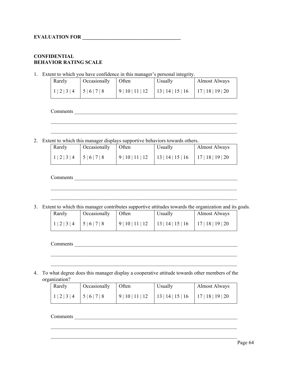# **CONFIDENTIAL BEHAVIOR RATING SCALE**

1. Extent to which you have confidence in this manager's personal integrity.

| Rarely                    | Occasionally Often |                  | Usually                                 | <b>Almost Always</b> |
|---------------------------|--------------------|------------------|-----------------------------------------|----------------------|
| $1 2 3 4$   5   6   7   8 |                    | 9   10   11   12 | $13   14   15   16$   17   18   19   20 |                      |

Comments \_\_\_\_\_\_\_\_\_\_\_\_\_\_\_\_\_\_\_\_\_\_\_\_\_\_\_\_\_\_\_\_\_\_\_\_\_\_\_\_\_\_\_\_\_\_\_\_\_\_\_\_\_\_\_\_\_\_\_\_\_\_\_

2. Extent to which this manager displays supportive behaviors towards others.

| Rarely            | Occasionally Often |                  | Usually                                   | <b>Almost Always</b> |
|-------------------|--------------------|------------------|-------------------------------------------|----------------------|
| $1 2 3 4$ 5 6 7 8 |                    | 9   10   11   12 | $13   14   15   16$   $17   18   19   20$ |                      |

\_\_\_\_\_\_\_\_\_\_\_\_\_\_\_\_\_\_\_\_\_\_\_\_\_\_\_\_\_\_\_\_\_\_\_\_\_\_\_\_\_\_\_\_\_\_\_\_\_\_\_\_\_\_\_\_\_\_\_\_\_\_\_\_\_\_\_\_\_\_\_\_

\_\_\_\_\_\_\_\_\_\_\_\_\_\_\_\_\_\_\_\_\_\_\_\_\_\_\_\_\_\_\_\_\_\_\_\_\_\_\_\_\_\_\_\_\_\_\_\_\_\_\_\_\_\_\_\_\_\_\_\_\_\_\_\_\_\_\_\_\_\_\_\_

Comments \_\_\_\_\_\_\_\_\_\_\_\_\_\_\_\_\_\_\_\_\_\_\_\_\_\_\_\_\_\_\_\_\_\_\_\_\_\_\_\_\_\_\_\_\_\_\_\_\_\_\_\_\_\_\_\_\_\_\_\_\_\_\_

3. Extent to which this manager contributes supportive attitudes towards the organization and its goals.

 $\mathcal{L}_\text{max} = \mathcal{L}_\text{max} = \mathcal{L}_\text{max} = \mathcal{L}_\text{max} = \mathcal{L}_\text{max} = \mathcal{L}_\text{max} = \mathcal{L}_\text{max} = \mathcal{L}_\text{max} = \mathcal{L}_\text{max} = \mathcal{L}_\text{max} = \mathcal{L}_\text{max} = \mathcal{L}_\text{max} = \mathcal{L}_\text{max} = \mathcal{L}_\text{max} = \mathcal{L}_\text{max} = \mathcal{L}_\text{max} = \mathcal{L}_\text{max} = \mathcal{L}_\text{max} = \mathcal{$ 

 $\mathcal{L}_\text{max} = \mathcal{L}_\text{max} = \mathcal{L}_\text{max} = \mathcal{L}_\text{max} = \mathcal{L}_\text{max} = \mathcal{L}_\text{max} = \mathcal{L}_\text{max} = \mathcal{L}_\text{max} = \mathcal{L}_\text{max} = \mathcal{L}_\text{max} = \mathcal{L}_\text{max} = \mathcal{L}_\text{max} = \mathcal{L}_\text{max} = \mathcal{L}_\text{max} = \mathcal{L}_\text{max} = \mathcal{L}_\text{max} = \mathcal{L}_\text{max} = \mathcal{L}_\text{max} = \mathcal{$ 

| Rarely              | Occasionally | Often            | Usually                               | Almost Always |
|---------------------|--------------|------------------|---------------------------------------|---------------|
| $1 2 3 4$ $5 6 7 8$ |              | 9   10   11   12 | 13   14   15   16   17   18   19   20 |               |

 $\mathcal{L}_\text{max} = \mathcal{L}_\text{max} = \mathcal{L}_\text{max} = \mathcal{L}_\text{max} = \mathcal{L}_\text{max} = \mathcal{L}_\text{max} = \mathcal{L}_\text{max} = \mathcal{L}_\text{max} = \mathcal{L}_\text{max} = \mathcal{L}_\text{max} = \mathcal{L}_\text{max} = \mathcal{L}_\text{max} = \mathcal{L}_\text{max} = \mathcal{L}_\text{max} = \mathcal{L}_\text{max} = \mathcal{L}_\text{max} = \mathcal{L}_\text{max} = \mathcal{L}_\text{max} = \mathcal{$ 

 $\mathcal{L}_\text{max} = \mathcal{L}_\text{max} = \mathcal{L}_\text{max} = \mathcal{L}_\text{max} = \mathcal{L}_\text{max} = \mathcal{L}_\text{max} = \mathcal{L}_\text{max} = \mathcal{L}_\text{max} = \mathcal{L}_\text{max} = \mathcal{L}_\text{max} = \mathcal{L}_\text{max} = \mathcal{L}_\text{max} = \mathcal{L}_\text{max} = \mathcal{L}_\text{max} = \mathcal{L}_\text{max} = \mathcal{L}_\text{max} = \mathcal{L}_\text{max} = \mathcal{L}_\text{max} = \mathcal{$ 

Comments

4. To what degree does this manager display a cooperative attitude towards other members of the organization?

| Rarely              | Occasionally Often |            | Usually           | <b>Almost Always</b> |
|---------------------|--------------------|------------|-------------------|----------------------|
| $1 2 3 4$ $5 6 7 8$ |                    | 9 10 11 12 | 13   14   15   16 | 17   18   19   20    |

 $\mathcal{L}_\text{max} = \mathcal{L}_\text{max} = \mathcal{L}_\text{max} = \mathcal{L}_\text{max} = \mathcal{L}_\text{max} = \mathcal{L}_\text{max} = \mathcal{L}_\text{max} = \mathcal{L}_\text{max} = \mathcal{L}_\text{max} = \mathcal{L}_\text{max} = \mathcal{L}_\text{max} = \mathcal{L}_\text{max} = \mathcal{L}_\text{max} = \mathcal{L}_\text{max} = \mathcal{L}_\text{max} = \mathcal{L}_\text{max} = \mathcal{L}_\text{max} = \mathcal{L}_\text{max} = \mathcal{$ 

 $\mathcal{L}_\text{max} = \mathcal{L}_\text{max} = \mathcal{L}_\text{max} = \mathcal{L}_\text{max} = \mathcal{L}_\text{max} = \mathcal{L}_\text{max} = \mathcal{L}_\text{max} = \mathcal{L}_\text{max} = \mathcal{L}_\text{max} = \mathcal{L}_\text{max} = \mathcal{L}_\text{max} = \mathcal{L}_\text{max} = \mathcal{L}_\text{max} = \mathcal{L}_\text{max} = \mathcal{L}_\text{max} = \mathcal{L}_\text{max} = \mathcal{L}_\text{max} = \mathcal{L}_\text{max} = \mathcal{$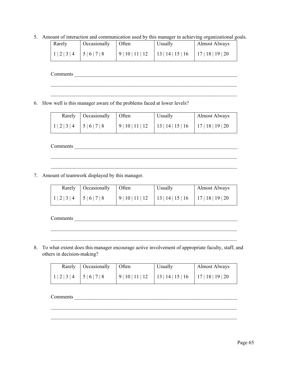5. Amount of interaction and communication used by this manager in achieving organizational goals.

| Rarely                        | Occasionally | Often      | Usually                                 | <b>Almost Always</b> |
|-------------------------------|--------------|------------|-----------------------------------------|----------------------|
| 1   2   3   4   5   6   7   8 |              | 9 10 11 12 | $13   14   15   16$   17   18   19   20 |                      |

 $\mathcal{L}_\text{max} = \mathcal{L}_\text{max} = \mathcal{L}_\text{max} = \mathcal{L}_\text{max} = \mathcal{L}_\text{max} = \mathcal{L}_\text{max} = \mathcal{L}_\text{max} = \mathcal{L}_\text{max} = \mathcal{L}_\text{max} = \mathcal{L}_\text{max} = \mathcal{L}_\text{max} = \mathcal{L}_\text{max} = \mathcal{L}_\text{max} = \mathcal{L}_\text{max} = \mathcal{L}_\text{max} = \mathcal{L}_\text{max} = \mathcal{L}_\text{max} = \mathcal{L}_\text{max} = \mathcal{$ 

 $\mathcal{L}_\text{max} = \mathcal{L}_\text{max} = \mathcal{L}_\text{max} = \mathcal{L}_\text{max} = \mathcal{L}_\text{max} = \mathcal{L}_\text{max} = \mathcal{L}_\text{max} = \mathcal{L}_\text{max} = \mathcal{L}_\text{max} = \mathcal{L}_\text{max} = \mathcal{L}_\text{max} = \mathcal{L}_\text{max} = \mathcal{L}_\text{max} = \mathcal{L}_\text{max} = \mathcal{L}_\text{max} = \mathcal{L}_\text{max} = \mathcal{L}_\text{max} = \mathcal{L}_\text{max} = \mathcal{$ 

Comments \_\_\_\_\_\_\_\_\_\_\_\_\_\_\_\_\_\_\_\_\_\_\_\_\_\_\_\_\_\_\_\_\_\_\_\_\_\_\_\_\_\_\_\_\_\_\_\_\_\_\_\_\_\_\_\_\_\_\_\_\_\_\_

6. How well is this manager aware of the problems faced at lower levels?

|                           | Rarely   Occasionally   Often |            | Usually                               | Almost Always |
|---------------------------|-------------------------------|------------|---------------------------------------|---------------|
| $1 2 3 4$   5   6   7   8 |                               | 9 10 11 12 | 13   14   15   16   17   18   19   20 |               |

Comments \_\_\_\_\_\_\_\_\_\_\_\_\_\_\_\_\_\_\_\_\_\_\_\_\_\_\_\_\_\_\_\_\_\_\_\_\_\_\_\_\_\_\_\_\_\_\_\_\_\_\_\_\_\_\_\_\_\_\_\_\_\_\_

7. Amount of teamwork displayed by this manager.

|                   | Rarely   Occasionally   Often |                  | Usually                                 | Almost Always |
|-------------------|-------------------------------|------------------|-----------------------------------------|---------------|
| $1/2/3/4$ 5/6/7/8 |                               | 9   10   11   12 | $13   14   15   16$   17   18   19   20 |               |

 $\mathcal{L}_\text{max} = \mathcal{L}_\text{max} = \mathcal{L}_\text{max} = \mathcal{L}_\text{max} = \mathcal{L}_\text{max} = \mathcal{L}_\text{max} = \mathcal{L}_\text{max} = \mathcal{L}_\text{max} = \mathcal{L}_\text{max} = \mathcal{L}_\text{max} = \mathcal{L}_\text{max} = \mathcal{L}_\text{max} = \mathcal{L}_\text{max} = \mathcal{L}_\text{max} = \mathcal{L}_\text{max} = \mathcal{L}_\text{max} = \mathcal{L}_\text{max} = \mathcal{L}_\text{max} = \mathcal{$ 

 $\mathcal{L}_\text{max} = \mathcal{L}_\text{max} = \mathcal{L}_\text{max} = \mathcal{L}_\text{max} = \mathcal{L}_\text{max} = \mathcal{L}_\text{max} = \mathcal{L}_\text{max} = \mathcal{L}_\text{max} = \mathcal{L}_\text{max} = \mathcal{L}_\text{max} = \mathcal{L}_\text{max} = \mathcal{L}_\text{max} = \mathcal{L}_\text{max} = \mathcal{L}_\text{max} = \mathcal{L}_\text{max} = \mathcal{L}_\text{max} = \mathcal{L}_\text{max} = \mathcal{L}_\text{max} = \mathcal{$ 

 $\mathcal{L}_\text{max} = \mathcal{L}_\text{max} = \mathcal{L}_\text{max} = \mathcal{L}_\text{max} = \mathcal{L}_\text{max} = \mathcal{L}_\text{max} = \mathcal{L}_\text{max} = \mathcal{L}_\text{max} = \mathcal{L}_\text{max} = \mathcal{L}_\text{max} = \mathcal{L}_\text{max} = \mathcal{L}_\text{max} = \mathcal{L}_\text{max} = \mathcal{L}_\text{max} = \mathcal{L}_\text{max} = \mathcal{L}_\text{max} = \mathcal{L}_\text{max} = \mathcal{L}_\text{max} = \mathcal{$ 

Comments \_\_\_\_\_\_\_\_\_\_\_\_\_\_\_\_\_\_\_\_\_\_\_\_\_\_\_\_\_\_\_\_\_\_\_\_\_\_\_\_\_\_\_\_\_\_\_\_\_\_\_\_\_\_\_\_\_\_\_\_\_\_\_

8. To what extent does this manager encourage active involvement of appropriate faculty, staff, and others in decision-making?

|                         | Rarely   Occasionally   Often |                  | Usually                                 | <b>Almost Always</b> |
|-------------------------|-------------------------------|------------------|-----------------------------------------|----------------------|
| $1   2   3   4$ 5 6 7 8 |                               | 9   10   11   12 | $13   14   15   16$   17   18   19   20 |                      |

 $\mathcal{L}_\text{max} = \mathcal{L}_\text{max} = \mathcal{L}_\text{max} = \mathcal{L}_\text{max} = \mathcal{L}_\text{max} = \mathcal{L}_\text{max} = \mathcal{L}_\text{max} = \mathcal{L}_\text{max} = \mathcal{L}_\text{max} = \mathcal{L}_\text{max} = \mathcal{L}_\text{max} = \mathcal{L}_\text{max} = \mathcal{L}_\text{max} = \mathcal{L}_\text{max} = \mathcal{L}_\text{max} = \mathcal{L}_\text{max} = \mathcal{L}_\text{max} = \mathcal{L}_\text{max} = \mathcal{$ 

 $\mathcal{L}_\text{max} = \mathcal{L}_\text{max} = \mathcal{L}_\text{max} = \mathcal{L}_\text{max} = \mathcal{L}_\text{max} = \mathcal{L}_\text{max} = \mathcal{L}_\text{max} = \mathcal{L}_\text{max} = \mathcal{L}_\text{max} = \mathcal{L}_\text{max} = \mathcal{L}_\text{max} = \mathcal{L}_\text{max} = \mathcal{L}_\text{max} = \mathcal{L}_\text{max} = \mathcal{L}_\text{max} = \mathcal{L}_\text{max} = \mathcal{L}_\text{max} = \mathcal{L}_\text{max} = \mathcal{$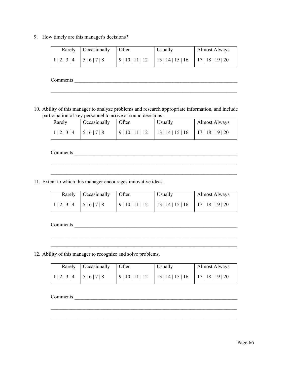9. How timely are this manager's decisions?

|                   | Rarely   Occasionally   Often |                  | Usually                                 | Almost Always |
|-------------------|-------------------------------|------------------|-----------------------------------------|---------------|
| $1 2 3 4$ 5 6 7 8 |                               | 9   10   11   12 | $13   14   15   16$ $17   18   19   20$ |               |

 $\mathcal{L}_\text{max} = \mathcal{L}_\text{max} = \mathcal{L}_\text{max} = \mathcal{L}_\text{max} = \mathcal{L}_\text{max} = \mathcal{L}_\text{max} = \mathcal{L}_\text{max} = \mathcal{L}_\text{max} = \mathcal{L}_\text{max} = \mathcal{L}_\text{max} = \mathcal{L}_\text{max} = \mathcal{L}_\text{max} = \mathcal{L}_\text{max} = \mathcal{L}_\text{max} = \mathcal{L}_\text{max} = \mathcal{L}_\text{max} = \mathcal{L}_\text{max} = \mathcal{L}_\text{max} = \mathcal{$ 

 $\mathcal{L}_\text{max} = \frac{1}{2} \sum_{i=1}^n \mathcal{L}_\text{max} = \frac{1}{2} \sum_{i=1}^n \mathcal{L}_\text{max} = \frac{1}{2} \sum_{i=1}^n \mathcal{L}_\text{max} = \frac{1}{2} \sum_{i=1}^n \mathcal{L}_\text{max} = \frac{1}{2} \sum_{i=1}^n \mathcal{L}_\text{max} = \frac{1}{2} \sum_{i=1}^n \mathcal{L}_\text{max} = \frac{1}{2} \sum_{i=1}^n \mathcal{L}_\text{max} = \frac{1}{2} \sum_{i=$ 

Comments \_\_\_\_\_\_\_\_\_\_\_\_\_\_\_\_\_\_\_\_\_\_\_\_\_\_\_\_\_\_\_\_\_\_\_\_\_\_\_\_\_\_\_\_\_\_\_\_\_\_\_\_\_\_\_\_\_\_\_\_\_\_\_

10. Ability of this manager to analyze problems and research appropriate information, and include participation of key personnel to arrive at sound decisions.

| Rarely            | Occasionally Often | <b>U</b> sually                            | Almost Always |
|-------------------|--------------------|--------------------------------------------|---------------|
| $1 2 3 4$ 5 6 7 8 |                    | $9 10 11 12$ $ 13 14 15 16$ $ 17 18 19 20$ |               |

 $\mathcal{L}_\text{max} = \mathcal{L}_\text{max} = \mathcal{L}_\text{max} = \mathcal{L}_\text{max} = \mathcal{L}_\text{max} = \mathcal{L}_\text{max} = \mathcal{L}_\text{max} = \mathcal{L}_\text{max} = \mathcal{L}_\text{max} = \mathcal{L}_\text{max} = \mathcal{L}_\text{max} = \mathcal{L}_\text{max} = \mathcal{L}_\text{max} = \mathcal{L}_\text{max} = \mathcal{L}_\text{max} = \mathcal{L}_\text{max} = \mathcal{L}_\text{max} = \mathcal{L}_\text{max} = \mathcal{$ 

 $\mathcal{L}_\text{max} = \mathcal{L}_\text{max} = \mathcal{L}_\text{max} = \mathcal{L}_\text{max} = \mathcal{L}_\text{max} = \mathcal{L}_\text{max} = \mathcal{L}_\text{max} = \mathcal{L}_\text{max} = \mathcal{L}_\text{max} = \mathcal{L}_\text{max} = \mathcal{L}_\text{max} = \mathcal{L}_\text{max} = \mathcal{L}_\text{max} = \mathcal{L}_\text{max} = \mathcal{L}_\text{max} = \mathcal{L}_\text{max} = \mathcal{L}_\text{max} = \mathcal{L}_\text{max} = \mathcal{$ 

Comments

11. Extent to which this manager encourages innovative ideas.

|                               | Rarely   Occasionally   Often | Usually                                    | Almost Always |
|-------------------------------|-------------------------------|--------------------------------------------|---------------|
| 1   2   3   4   5   6   7   8 |                               | $9 10 11 12$ $ 13 14 15 16$ $ 17 18 19 20$ |               |

 $\overline{\phantom{a}}$  , and the contribution of the contribution of the contribution of the contribution of the contribution of the contribution of the contribution of the contribution of the contribution of the contribution of the

Comments \_\_\_\_\_\_\_\_\_\_\_\_\_\_\_\_\_\_\_\_\_\_\_\_\_\_\_\_\_\_\_\_\_\_\_\_\_\_\_\_\_\_\_\_\_\_\_\_\_\_\_\_\_\_\_\_\_\_\_\_\_\_\_

12. Ability of this manager to recognize and solve problems.

|                               | Rarely   Occasionally   Often | <b>U</b> sually                             | Almost Always |
|-------------------------------|-------------------------------|---------------------------------------------|---------------|
| 1   2   3   4   5   6   7   8 |                               | $ 9 10 11 12$ $ 13 14 15 16$ $ 17 18 19 20$ |               |

 $\mathcal{L}_\text{max} = \mathcal{L}_\text{max} = \mathcal{L}_\text{max} = \mathcal{L}_\text{max} = \mathcal{L}_\text{max} = \mathcal{L}_\text{max} = \mathcal{L}_\text{max} = \mathcal{L}_\text{max} = \mathcal{L}_\text{max} = \mathcal{L}_\text{max} = \mathcal{L}_\text{max} = \mathcal{L}_\text{max} = \mathcal{L}_\text{max} = \mathcal{L}_\text{max} = \mathcal{L}_\text{max} = \mathcal{L}_\text{max} = \mathcal{L}_\text{max} = \mathcal{L}_\text{max} = \mathcal{$ 

 $\mathcal{L}_\text{max} = \mathcal{L}_\text{max} = \mathcal{L}_\text{max} = \mathcal{L}_\text{max} = \mathcal{L}_\text{max} = \mathcal{L}_\text{max} = \mathcal{L}_\text{max} = \mathcal{L}_\text{max} = \mathcal{L}_\text{max} = \mathcal{L}_\text{max} = \mathcal{L}_\text{max} = \mathcal{L}_\text{max} = \mathcal{L}_\text{max} = \mathcal{L}_\text{max} = \mathcal{L}_\text{max} = \mathcal{L}_\text{max} = \mathcal{L}_\text{max} = \mathcal{L}_\text{max} = \mathcal{$ 

\_\_\_\_\_\_\_\_\_\_\_\_\_\_\_\_\_\_\_\_\_\_\_\_\_\_\_\_\_\_\_\_\_\_\_\_\_\_\_\_\_\_\_\_\_\_\_\_\_\_\_\_\_\_\_\_\_\_\_\_\_\_\_\_\_\_\_\_\_\_\_\_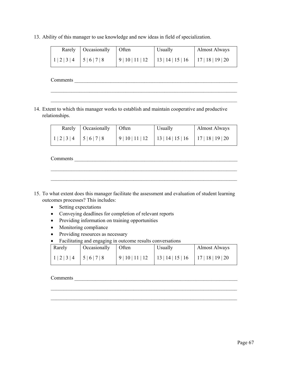13. Ability of this manager to use knowledge and new ideas in field of specialization.

|                   | Rarely   Occasionally   Often | <b>U</b> sually                            | Almost Always |
|-------------------|-------------------------------|--------------------------------------------|---------------|
| $1 2 3 4$ 5 6 7 8 |                               | $9 10 11 12$ $ 13 14 15 16$ $ 17 18 19 20$ |               |

 $\mathcal{L}_\text{max} = \mathcal{L}_\text{max} = \mathcal{L}_\text{max} = \mathcal{L}_\text{max} = \mathcal{L}_\text{max} = \mathcal{L}_\text{max} = \mathcal{L}_\text{max} = \mathcal{L}_\text{max} = \mathcal{L}_\text{max} = \mathcal{L}_\text{max} = \mathcal{L}_\text{max} = \mathcal{L}_\text{max} = \mathcal{L}_\text{max} = \mathcal{L}_\text{max} = \mathcal{L}_\text{max} = \mathcal{L}_\text{max} = \mathcal{L}_\text{max} = \mathcal{L}_\text{max} = \mathcal{$ 

 $\mathcal{L}_\text{max} = \mathcal{L}_\text{max} = \mathcal{L}_\text{max} = \mathcal{L}_\text{max} = \mathcal{L}_\text{max} = \mathcal{L}_\text{max} = \mathcal{L}_\text{max} = \mathcal{L}_\text{max} = \mathcal{L}_\text{max} = \mathcal{L}_\text{max} = \mathcal{L}_\text{max} = \mathcal{L}_\text{max} = \mathcal{L}_\text{max} = \mathcal{L}_\text{max} = \mathcal{L}_\text{max} = \mathcal{L}_\text{max} = \mathcal{L}_\text{max} = \mathcal{L}_\text{max} = \mathcal{$ 

Comments

14. Extent to which this manager works to establish and maintain cooperative and productive relationships.

|                         | Rarely   Occasionally   Often |                  | Usually                                 | <b>Almost Always</b> |
|-------------------------|-------------------------------|------------------|-----------------------------------------|----------------------|
| $1 2 3 4$ 5   6   7   8 |                               | 9   10   11   12 | $13   14   15   16$   17   18   19   20 |                      |

 $\mathcal{L}_\text{max} = \mathcal{L}_\text{max} = \mathcal{L}_\text{max} = \mathcal{L}_\text{max} = \mathcal{L}_\text{max} = \mathcal{L}_\text{max} = \mathcal{L}_\text{max} = \mathcal{L}_\text{max} = \mathcal{L}_\text{max} = \mathcal{L}_\text{max} = \mathcal{L}_\text{max} = \mathcal{L}_\text{max} = \mathcal{L}_\text{max} = \mathcal{L}_\text{max} = \mathcal{L}_\text{max} = \mathcal{L}_\text{max} = \mathcal{L}_\text{max} = \mathcal{L}_\text{max} = \mathcal{$ 

 $\mathcal{L}_\text{max} = \mathcal{L}_\text{max} = \mathcal{L}_\text{max} = \mathcal{L}_\text{max} = \mathcal{L}_\text{max} = \mathcal{L}_\text{max} = \mathcal{L}_\text{max} = \mathcal{L}_\text{max} = \mathcal{L}_\text{max} = \mathcal{L}_\text{max} = \mathcal{L}_\text{max} = \mathcal{L}_\text{max} = \mathcal{L}_\text{max} = \mathcal{L}_\text{max} = \mathcal{L}_\text{max} = \mathcal{L}_\text{max} = \mathcal{L}_\text{max} = \mathcal{L}_\text{max} = \mathcal{$ 

Comments

- 15. To what extent does this manager facilitate the assessment and evaluation of student learning outcomes processes? This includes:
	- Setting expectations
	- Conveying deadlines for completion of relevant reports
	- Providing information on training opportunities
	- Monitoring compliance
	- Providing resources as necessary
	- Facilitating and engaging in outcome results conversations

| Rarely            | Occasionally Often | Usually                                              | <b>Almost Always</b> |
|-------------------|--------------------|------------------------------------------------------|----------------------|
| $1 2 3 4$ 5 6 7 8 |                    | $9 10 11 12$   13   14   15   16   17   18   19   20 |                      |

 $\mathcal{L}_\text{max} = \mathcal{L}_\text{max} = \mathcal{L}_\text{max} = \mathcal{L}_\text{max} = \mathcal{L}_\text{max} = \mathcal{L}_\text{max} = \mathcal{L}_\text{max} = \mathcal{L}_\text{max} = \mathcal{L}_\text{max} = \mathcal{L}_\text{max} = \mathcal{L}_\text{max} = \mathcal{L}_\text{max} = \mathcal{L}_\text{max} = \mathcal{L}_\text{max} = \mathcal{L}_\text{max} = \mathcal{L}_\text{max} = \mathcal{L}_\text{max} = \mathcal{L}_\text{max} = \mathcal{$ 

 $\mathcal{L}_\text{max} = \mathcal{L}_\text{max} = \mathcal{L}_\text{max} = \mathcal{L}_\text{max} = \mathcal{L}_\text{max} = \mathcal{L}_\text{max} = \mathcal{L}_\text{max} = \mathcal{L}_\text{max} = \mathcal{L}_\text{max} = \mathcal{L}_\text{max} = \mathcal{L}_\text{max} = \mathcal{L}_\text{max} = \mathcal{L}_\text{max} = \mathcal{L}_\text{max} = \mathcal{L}_\text{max} = \mathcal{L}_\text{max} = \mathcal{L}_\text{max} = \mathcal{L}_\text{max} = \mathcal{$ 

#### Comments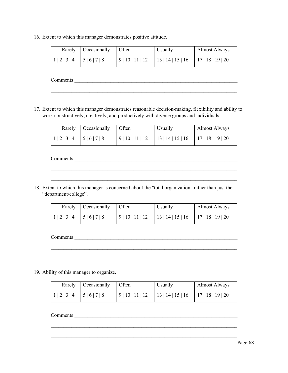16. Extent to which this manager demonstrates positive attitude.

|                     | Rarely   Occasionally   Often | Usually                                    | Almost Always |
|---------------------|-------------------------------|--------------------------------------------|---------------|
| $1 2 3 4$ $5 6 7 8$ |                               | $9 10 11 12$ $ 13 14 15 16$ $ 17 18 19 20$ |               |

 $\mathcal{L}_\text{max} = \mathcal{L}_\text{max} = \mathcal{L}_\text{max} = \mathcal{L}_\text{max} = \mathcal{L}_\text{max} = \mathcal{L}_\text{max} = \mathcal{L}_\text{max} = \mathcal{L}_\text{max} = \mathcal{L}_\text{max} = \mathcal{L}_\text{max} = \mathcal{L}_\text{max} = \mathcal{L}_\text{max} = \mathcal{L}_\text{max} = \mathcal{L}_\text{max} = \mathcal{L}_\text{max} = \mathcal{L}_\text{max} = \mathcal{L}_\text{max} = \mathcal{L}_\text{max} = \mathcal{$ 

Comments \_\_\_\_\_\_\_\_\_\_\_\_\_\_\_\_\_\_\_\_\_\_\_\_\_\_\_\_\_\_\_\_\_\_\_\_\_\_\_\_\_\_\_\_\_\_\_\_\_\_\_\_\_\_\_\_\_\_\_\_\_\_\_

17. Extent to which this manager demonstrates reasonable decision-making, flexibility and ability to work constructively, creatively, and productively with diverse groups and individuals.

|               | Rarely   Occasionally   Often |                  | Usually           | <b>Almost Always</b> |
|---------------|-------------------------------|------------------|-------------------|----------------------|
| $1234$ $5678$ |                               | 9   10   11   12 | 13   14   15   16 | 17 18 19 20          |

 $\mathcal{L}_\text{max} = \mathcal{L}_\text{max} = \mathcal{L}_\text{max} = \mathcal{L}_\text{max} = \mathcal{L}_\text{max} = \mathcal{L}_\text{max} = \mathcal{L}_\text{max} = \mathcal{L}_\text{max} = \mathcal{L}_\text{max} = \mathcal{L}_\text{max} = \mathcal{L}_\text{max} = \mathcal{L}_\text{max} = \mathcal{L}_\text{max} = \mathcal{L}_\text{max} = \mathcal{L}_\text{max} = \mathcal{L}_\text{max} = \mathcal{L}_\text{max} = \mathcal{L}_\text{max} = \mathcal{$ 

 $\mathcal{L}_\text{max} = \mathcal{L}_\text{max} = \mathcal{L}_\text{max} = \mathcal{L}_\text{max} = \mathcal{L}_\text{max} = \mathcal{L}_\text{max} = \mathcal{L}_\text{max} = \mathcal{L}_\text{max} = \mathcal{L}_\text{max} = \mathcal{L}_\text{max} = \mathcal{L}_\text{max} = \mathcal{L}_\text{max} = \mathcal{L}_\text{max} = \mathcal{L}_\text{max} = \mathcal{L}_\text{max} = \mathcal{L}_\text{max} = \mathcal{L}_\text{max} = \mathcal{L}_\text{max} = \mathcal{$ 

Comments

18. Extent to which this manager is concerned about the "total organization" rather than just the "department/college".

|                     | Rarely   Occasionally   Often |                  | Usually                                 | Almost Always |
|---------------------|-------------------------------|------------------|-----------------------------------------|---------------|
| $1 2 3 4$ $5 6 7 8$ |                               | 9   10   11   12 | $13   14   15   16$ $17   18   19   20$ |               |

 $\mathcal{L}_\text{max} = \mathcal{L}_\text{max} = \mathcal{L}_\text{max} = \mathcal{L}_\text{max} = \mathcal{L}_\text{max} = \mathcal{L}_\text{max} = \mathcal{L}_\text{max} = \mathcal{L}_\text{max} = \mathcal{L}_\text{max} = \mathcal{L}_\text{max} = \mathcal{L}_\text{max} = \mathcal{L}_\text{max} = \mathcal{L}_\text{max} = \mathcal{L}_\text{max} = \mathcal{L}_\text{max} = \mathcal{L}_\text{max} = \mathcal{L}_\text{max} = \mathcal{L}_\text{max} = \mathcal{$ 

 $\mathcal{L}_\text{max} = \mathcal{L}_\text{max} = \mathcal{L}_\text{max} = \mathcal{L}_\text{max} = \mathcal{L}_\text{max} = \mathcal{L}_\text{max} = \mathcal{L}_\text{max} = \mathcal{L}_\text{max} = \mathcal{L}_\text{max} = \mathcal{L}_\text{max} = \mathcal{L}_\text{max} = \mathcal{L}_\text{max} = \mathcal{L}_\text{max} = \mathcal{L}_\text{max} = \mathcal{L}_\text{max} = \mathcal{L}_\text{max} = \mathcal{L}_\text{max} = \mathcal{L}_\text{max} = \mathcal{$ 

Comments \_\_\_\_\_\_\_\_\_\_\_\_\_\_\_\_\_\_\_\_\_\_\_\_\_\_\_\_\_\_\_\_\_\_\_\_\_\_\_\_\_\_\_\_\_\_\_\_\_\_\_\_\_\_\_\_\_\_\_\_\_\_\_

19. Ability of this manager to organize.

|                     | Rarely   Occasionally   Often |                  | Usually           | Almost Always     |
|---------------------|-------------------------------|------------------|-------------------|-------------------|
| $1 2 3 4$ $5 6 7 8$ |                               | 9   10   11   12 | 13   14   15   16 | 17   18   19   20 |

 $\mathcal{L}_\text{max} = \mathcal{L}_\text{max} = \mathcal{L}_\text{max} = \mathcal{L}_\text{max} = \mathcal{L}_\text{max} = \mathcal{L}_\text{max} = \mathcal{L}_\text{max} = \mathcal{L}_\text{max} = \mathcal{L}_\text{max} = \mathcal{L}_\text{max} = \mathcal{L}_\text{max} = \mathcal{L}_\text{max} = \mathcal{L}_\text{max} = \mathcal{L}_\text{max} = \mathcal{L}_\text{max} = \mathcal{L}_\text{max} = \mathcal{L}_\text{max} = \mathcal{L}_\text{max} = \mathcal{$ 

 $\mathcal{L}_\text{max} = \mathcal{L}_\text{max} = \mathcal{L}_\text{max} = \mathcal{L}_\text{max} = \mathcal{L}_\text{max} = \mathcal{L}_\text{max} = \mathcal{L}_\text{max} = \mathcal{L}_\text{max} = \mathcal{L}_\text{max} = \mathcal{L}_\text{max} = \mathcal{L}_\text{max} = \mathcal{L}_\text{max} = \mathcal{L}_\text{max} = \mathcal{L}_\text{max} = \mathcal{L}_\text{max} = \mathcal{L}_\text{max} = \mathcal{L}_\text{max} = \mathcal{L}_\text{max} = \mathcal{$